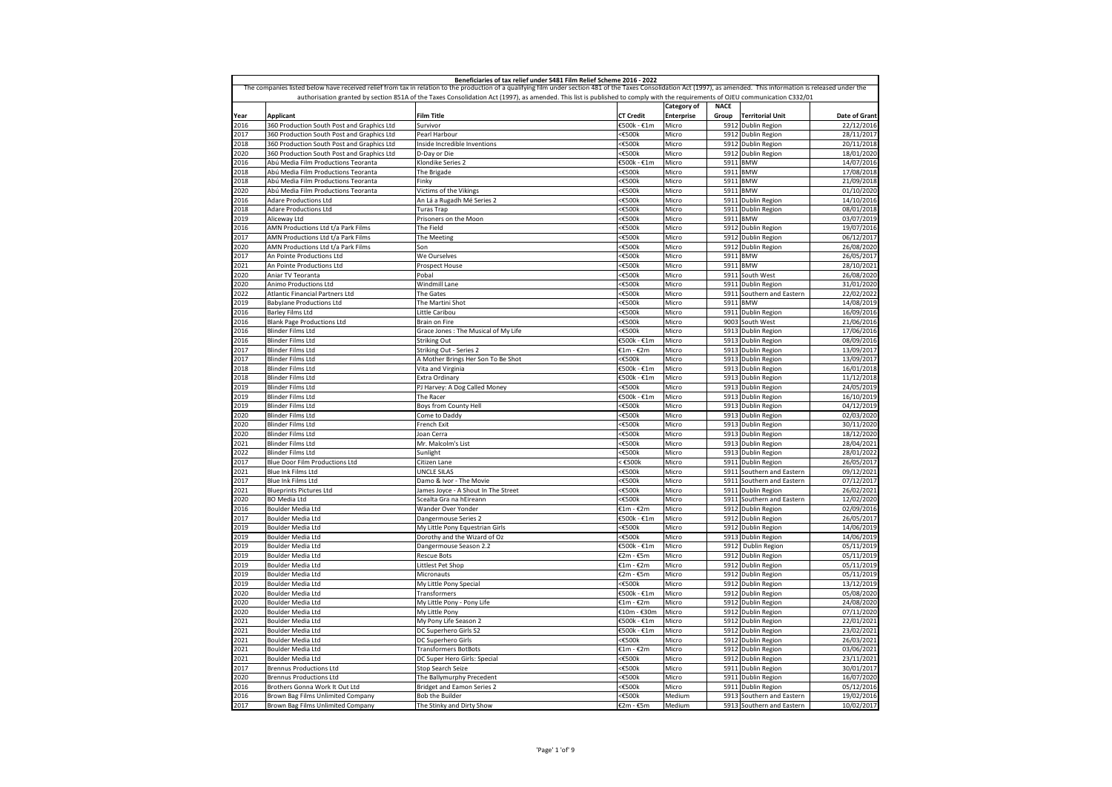|                                                                                                                                                                               |                                                    | Beneficiaries of tax relief under S481 Film Relief Scheme 2016 - 2022                                                                                                                                                   |                  |                                  |                      |                                |                          |  |
|-------------------------------------------------------------------------------------------------------------------------------------------------------------------------------|----------------------------------------------------|-------------------------------------------------------------------------------------------------------------------------------------------------------------------------------------------------------------------------|------------------|----------------------------------|----------------------|--------------------------------|--------------------------|--|
|                                                                                                                                                                               |                                                    | The companies listed below have received relief from tax in relation to the production of a qualifying film under section 481 of the Taxes Consolidation Act (1997), as amended. This information is released under the |                  |                                  |                      |                                |                          |  |
| authorisation granted by section 851A of the Taxes Consolidation Act (1997), as amended. This list is published to comply with the requirements of OJEU communication C332/01 |                                                    |                                                                                                                                                                                                                         |                  |                                  |                      |                                |                          |  |
| Year                                                                                                                                                                          | <b>Applicant</b>                                   | <b>Film Title</b>                                                                                                                                                                                                       | <b>CT Credit</b> | Category of<br><b>Enterprise</b> | <b>NACE</b><br>Group | <b>Territorial Unit</b>        | Date of Grant            |  |
| 2016                                                                                                                                                                          | 360 Production South Post and Graphics Ltd         | Survivor                                                                                                                                                                                                                | €500k - €1m      | Micro                            | 5912                 | Dublin Region                  | 22/12/201                |  |
| 2017                                                                                                                                                                          | 360 Production South Post and Graphics Ltd         | Pearl Harbour                                                                                                                                                                                                           | <€500k           | Micro                            |                      | 5912 Dublin Region             | 28/11/201                |  |
| 018                                                                                                                                                                           | 360 Production South Post and Graphics Ltd         | Inside Incredible Inventions                                                                                                                                                                                            | <€500k           | Micro                            |                      | 5912 Dublin Region             | 20/11/201                |  |
| 2020                                                                                                                                                                          | 360 Production South Post and Graphics Ltd         | D-Day or Die                                                                                                                                                                                                            | <€500k           | Micro                            |                      | 5912 Dublin Region             | 18/01/2020               |  |
| 2016                                                                                                                                                                          | Abú Media Film Productions Teoranta                | Klondike Series 2                                                                                                                                                                                                       | €500k - €1m      | Micro                            | 5911                 | <b>BMW</b>                     | 14/07/2016               |  |
| 018                                                                                                                                                                           | Abú Media Film Productions Teoranta                | The Brigade                                                                                                                                                                                                             | <€500k           | Micro                            | 5911                 | <b>BMW</b>                     | 17/08/201                |  |
| 2018                                                                                                                                                                          | Abú Media Film Productions Teoranta                | Finky                                                                                                                                                                                                                   | <€500k           | Micro                            | 5911                 | <b>BMW</b>                     | 21/09/201                |  |
| 2020                                                                                                                                                                          | Abú Media Film Productions Teoranta                | Victims of the Vikings                                                                                                                                                                                                  | <€500k           | Micro                            | 5911                 | <b>BMW</b>                     | 01/10/202                |  |
| 2016<br>2018                                                                                                                                                                  | <b>Adare Productions Ltd</b>                       | An Lá a Rugadh Mé Series 2                                                                                                                                                                                              | <€500k           | Micro                            | 5911                 | <b>Dublin Region</b>           | 14/10/201                |  |
|                                                                                                                                                                               | <b>Adare Productions Ltd</b>                       | Turas Trap                                                                                                                                                                                                              | <€500k           | Micro                            | 5911                 | Dublin Region                  | 08/01/2018               |  |
| 019                                                                                                                                                                           | Aliceway Ltd<br>AMN Productions Ltd t/a Park Films | Prisoners on the Moon                                                                                                                                                                                                   | <€500k           | Micro<br>Micro                   | 5911<br>5912         | <b>BMW</b>                     | 03/07/2019<br>19/07/2016 |  |
| 2016<br>017                                                                                                                                                                   | AMN Productions Ltd t/a Park Films                 | The Field<br>The Meeting                                                                                                                                                                                                | <€500k<br><€500k | Micro                            | 5912                 | Dublin Region<br>Dublin Region | 06/12/201                |  |
| 2020                                                                                                                                                                          | AMN Productions Ltd t/a Park Films                 | Son                                                                                                                                                                                                                     | <b>€500k</b>     | Micro                            | 5912                 | Dublin Region                  | 26/08/2020               |  |
| 017                                                                                                                                                                           | An Pointe Productions Ltd                          | We Ourselves                                                                                                                                                                                                            | <€500k           | Micro                            | 5911                 | <b>BMW</b>                     | 26/05/201                |  |
| 021                                                                                                                                                                           | An Pointe Productions Ltd                          | Prospect House                                                                                                                                                                                                          | ≤€500k           | Micro                            | 5911                 | <b>BMW</b>                     | 28/10/202                |  |
| 020                                                                                                                                                                           | Aniar TV Teoranta                                  | Pobal                                                                                                                                                                                                                   | <€500k           | Micro                            | 5911                 | South West                     | 26/08/2020               |  |
| 2020                                                                                                                                                                          | Animo Productions Ltd                              | Windmill Lane                                                                                                                                                                                                           | <€500k           | Micro                            | 5911                 | <b>Dublin Region</b>           | 31/01/202                |  |
| 2022                                                                                                                                                                          | <b>Atlantic Financial Partners Ltd</b>             | The Gates                                                                                                                                                                                                               | <€500k           | Micro                            | 5911                 | Southern and Eastern           | 22/02/202                |  |
| 2019                                                                                                                                                                          | <b>BabyJane Productions Ltd</b>                    | The Martini Shot                                                                                                                                                                                                        | <€500k           | Micro                            | 5911                 | <b>BMW</b>                     | 14/08/2019               |  |
| 2016                                                                                                                                                                          | Barley Films Ltd                                   | Little Caribou                                                                                                                                                                                                          | <€500k           | Micro                            | 5911                 | Dublin Region                  | 16/09/201                |  |
| 2016                                                                                                                                                                          | <b>Blank Page Productions Ltd</b>                  | Brain on Fire                                                                                                                                                                                                           | <€500k           | Micro                            | 9003                 | South West                     | 21/06/2016               |  |
| 2016                                                                                                                                                                          | <b>Blinder Films Ltd</b>                           | Grace Jones: The Musical of My Life                                                                                                                                                                                     | <€500k           | Micro                            |                      | 5913 Dublin Region             | 17/06/2016               |  |
| 2016                                                                                                                                                                          | <b>Blinder Films Ltd</b>                           | <b>Striking Out</b>                                                                                                                                                                                                     | €500k - €1m      | Micro                            |                      | 5913 Dublin Region             | 08/09/2016               |  |
| 2017                                                                                                                                                                          | <b>Blinder Films Ltd</b>                           | Striking Out - Series 2                                                                                                                                                                                                 | €1m - €2m        | Micro                            |                      | 5913 Dublin Region             | 13/09/201                |  |
| 2017                                                                                                                                                                          | <b>Blinder Films Ltd</b>                           | A Mother Brings Her Son To Be Shot                                                                                                                                                                                      | <b>€500k</b>     | Micro                            |                      | 5913 Dublin Region             | 13/09/201                |  |
| 2018                                                                                                                                                                          | <b>Blinder Films Ltd</b>                           | Vita and Virginia                                                                                                                                                                                                       | €500k - €1m      | Micro                            |                      | 5913 Dublin Region             | 16/01/201                |  |
| 018                                                                                                                                                                           | <b>Blinder Films Ltd</b>                           | Extra Ordinary                                                                                                                                                                                                          | €500k - €1m      | Micro                            |                      | 5913 Dublin Region             | 11/12/201                |  |
| 2019                                                                                                                                                                          | <b>Blinder Films Ltd</b>                           | PJ Harvey: A Dog Called Money                                                                                                                                                                                           | <€500k           | Micro                            |                      | 5913 Dublin Region             | 24/05/2019               |  |
| 019                                                                                                                                                                           | <b>Blinder Films Ltd</b>                           | The Racer                                                                                                                                                                                                               | €500k - €1m      | Micro                            |                      | 5913 Dublin Region             | 16/10/201                |  |
| 019                                                                                                                                                                           | <b>Blinder Films Ltd</b>                           | Boys from County Hell                                                                                                                                                                                                   | <€500k           | Micro                            |                      | 5913 Dublin Region             | 04/12/2019               |  |
| 2020                                                                                                                                                                          | <b>Blinder Films Ltd</b>                           | Come to Daddy                                                                                                                                                                                                           | <€500k           | Micro                            |                      | 5913 Dublin Region             | 02/03/2020               |  |
| 2020                                                                                                                                                                          | Blinder Films Ltd                                  | French Exit                                                                                                                                                                                                             | <€500k           | Micro                            |                      | 5913 Dublin Region             | 30/11/202                |  |
| 2020                                                                                                                                                                          | <b>Blinder Films Ltd</b>                           | Joan Cerra                                                                                                                                                                                                              | <€500k           | Micro                            |                      | 5913 Dublin Region             | 18/12/2020               |  |
| 2021                                                                                                                                                                          | <b>Blinder Films Ltd</b>                           | Mr. Malcolm's List                                                                                                                                                                                                      | <€500k           | Micro                            |                      | 5913 Dublin Region             | 28/04/2021               |  |
| 022                                                                                                                                                                           | <b>Blinder Films Ltd</b>                           | Sunlight                                                                                                                                                                                                                | <€500k           | Micro                            |                      | 5913 Dublin Region             | 28/01/202                |  |
| 2017                                                                                                                                                                          | Blue Door Film Productions Ltd                     | Citizen Lane                                                                                                                                                                                                            | £500k            | Micro                            | 5911                 | <b>Dublin Region</b>           | 26/05/201                |  |
| 2021                                                                                                                                                                          | Blue Ink Films Ltd                                 | UNCLE SILAS                                                                                                                                                                                                             | <b>€500k</b>     | Micro                            | 5911                 | Southern and Eastern           | 09/12/2021               |  |
| 2017                                                                                                                                                                          | Blue Ink Films Ltd                                 | Damo & Ivor - The Movie                                                                                                                                                                                                 | <€500k           | Micro                            | 5911                 | Southern and Eastern           | 07/12/201                |  |
| 021                                                                                                                                                                           | <b>Blueprints Pictures Ltd</b>                     | James Joyce - A Shout In The Street                                                                                                                                                                                     | <€500k           | Micro                            | 5911                 | Dublin Region                  | 26/02/202                |  |
| 2020                                                                                                                                                                          | <b>BO</b> Media Ltd                                | Scealta Gra na hEireann                                                                                                                                                                                                 | <€500k           | Micro                            | 5911                 | Southern and Eastern           | 12/02/2020               |  |
| 2016                                                                                                                                                                          | Boulder Media Ltd                                  | Wander Over Yonder                                                                                                                                                                                                      | €1m - €2m        | Micro                            | 5912                 | Dublin Region                  | 02/09/201                |  |
| 2017                                                                                                                                                                          | <b>Boulder Media Ltd</b>                           | Dangermouse Series 2                                                                                                                                                                                                    | €500k - €1m      | Micro                            | 5912                 | <b>Dublin Region</b>           | 26/05/201                |  |
| 2019                                                                                                                                                                          | Boulder Media Ltd                                  | My Little Pony Equestrian Girls                                                                                                                                                                                         | ≤€500k           | Micro                            | 5912                 | Dublin Region                  | 14/06/2019               |  |
| 2019                                                                                                                                                                          | Boulder Media Ltd                                  | Dorothy and the Wizard of Oz                                                                                                                                                                                            | <€500k           | Micro                            | 5913                 | Dublin Region                  | 14/06/2019               |  |
| 019                                                                                                                                                                           | <b>Boulder Media Ltd</b>                           | Dangermouse Season 2.2                                                                                                                                                                                                  | €500k - €1m      | Micro                            | 5912                 | Dublin Region                  | 05/11/2019               |  |
| 2019                                                                                                                                                                          | Boulder Media Ltd                                  | <b>Rescue Bots</b>                                                                                                                                                                                                      | €2m - €5m        | Micro                            |                      | 5912 Dublin Region             | 05/11/2019               |  |
| 2019                                                                                                                                                                          | Boulder Media Ltd                                  | Littlest Pet Shop                                                                                                                                                                                                       | €1m - €2m        | Micro                            | 5912                 | Dublin Region                  | 05/11/2019               |  |
| 019                                                                                                                                                                           | Boulder Media Ltd                                  | Micronauts                                                                                                                                                                                                              | €2m - €5m        | Micro                            | 5912                 | <b>Dublin Region</b>           | 05/11/201                |  |
| 019                                                                                                                                                                           | Boulder Media Ltd                                  | My Little Pony Special                                                                                                                                                                                                  | <b>€500k</b>     | Micro                            | 5912                 | Dublin Region                  | 13/12/2019               |  |
| 020                                                                                                                                                                           | Boulder Media Ltd                                  | Transformers                                                                                                                                                                                                            | €500k - €1m      | Micro                            | 5912                 | Dublin Region                  | 05/08/202                |  |
| 2020                                                                                                                                                                          | <b>Boulder Media Ltd</b>                           | My Little Pony - Pony Life                                                                                                                                                                                              | €1m - €2m        | Micro                            | 5912                 | <b>Dublin Region</b>           | 24/08/2020               |  |
| 2020                                                                                                                                                                          | Boulder Media Ltd                                  | My Little Pony                                                                                                                                                                                                          | €10m - €30m      | Micro                            | 5912                 | Dublin Region                  | 07/11/2020               |  |
| 2021                                                                                                                                                                          | Boulder Media Ltd                                  | My Pony Life Season 2                                                                                                                                                                                                   | €500k - €1m      | Micro                            | 5912                 | <b>Dublin Region</b>           | 22/01/202                |  |
| 2021                                                                                                                                                                          | Boulder Media Ltd                                  | DC Superhero Girls S2                                                                                                                                                                                                   | €500k - €1m      | Micro                            | 5912                 | <b>Dublin Region</b>           | 23/02/202                |  |
| 2021                                                                                                                                                                          | Boulder Media Ltd                                  | DC Superhero Girls                                                                                                                                                                                                      | <€500k           | Micro                            |                      | 5912 Dublin Region             | 26/03/202                |  |
| 2021                                                                                                                                                                          | Boulder Media Ltd                                  | <b>Transformers BotBots</b>                                                                                                                                                                                             | €1m - €2m        | Micro                            | 5912                 | <b>Dublin Region</b>           | 03/06/202                |  |
| 2021                                                                                                                                                                          | Boulder Media Ltd                                  | DC Super Hero Girls: Special                                                                                                                                                                                            | <€500k           | Micro                            | 5912                 | <b>Dublin Region</b>           | 23/11/202                |  |
| 2017                                                                                                                                                                          | <b>Brennus Productions Ltd</b>                     | Stop Search Seize                                                                                                                                                                                                       | <€500k           | Micro                            |                      | 5911 Dublin Region             | 30/01/2017               |  |
| 020                                                                                                                                                                           | <b>Brennus Productions Ltd</b>                     | The Ballymurphy Precedent                                                                                                                                                                                               | <€500k           | Micro                            | 5911                 | Dublin Region                  | 16/07/2020               |  |
| 2016                                                                                                                                                                          | Brothers Gonna Work It Out Ltd                     | <b>Bridget and Eamon Series 2</b>                                                                                                                                                                                       | <€500k           | Micro                            | 5911                 | <b>Dublin Region</b>           | 05/12/2016               |  |
| 2016                                                                                                                                                                          | Brown Bag Films Unlimited Company                  | Bob the Builder                                                                                                                                                                                                         | <€500k           | Medium                           |                      | 5913 Southern and Eastern      | 19/02/2016               |  |
| 2017                                                                                                                                                                          | Brown Bag Films Unlimited Company                  | The Stinky and Dirty Show                                                                                                                                                                                               | €2m - €5m        | Medium                           |                      | 5913 Southern and Eastern      | 10/02/201                |  |
|                                                                                                                                                                               |                                                    |                                                                                                                                                                                                                         |                  |                                  |                      |                                |                          |  |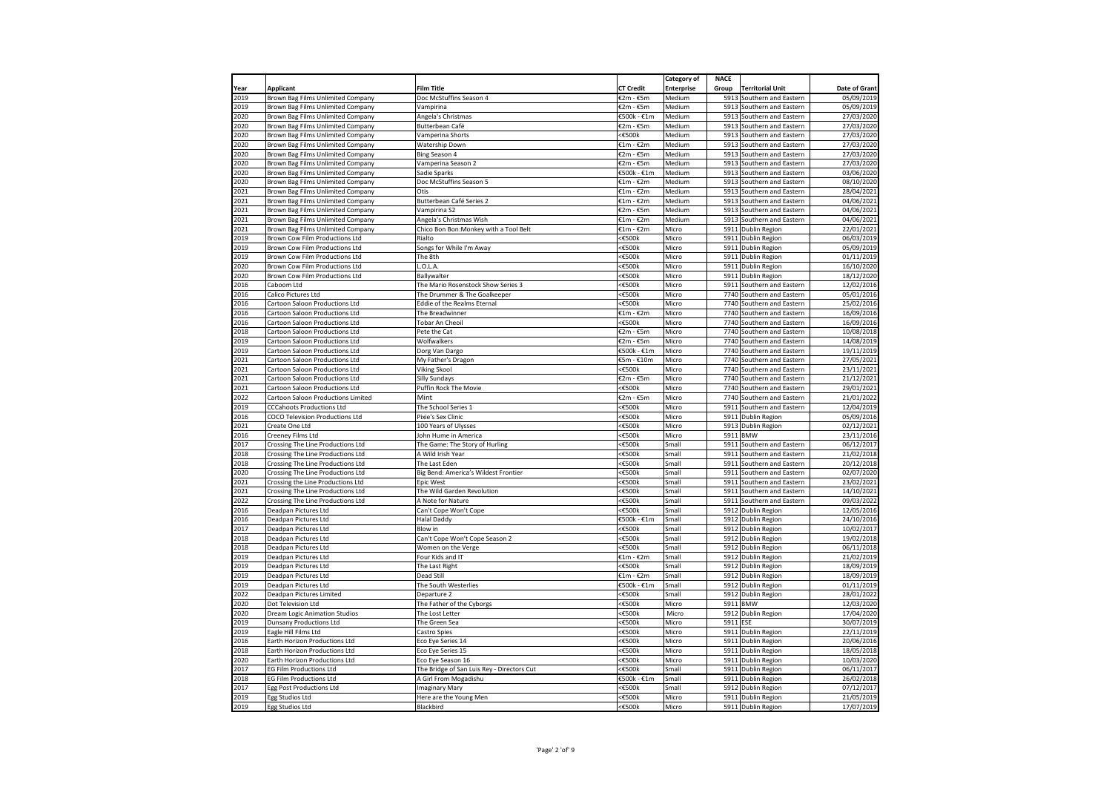|              |                                                                        |                                                |                     | <b>Category of</b> | <b>NACE</b>  |                                                   |                          |
|--------------|------------------------------------------------------------------------|------------------------------------------------|---------------------|--------------------|--------------|---------------------------------------------------|--------------------------|
| Year         | <b>Applicant</b>                                                       | Film Title                                     | <b>CT Credit</b>    | <b>Enterprise</b>  | Group        | <b>Territorial Unit</b>                           | Date of Grant            |
| 2019         | Brown Bag Films Unlimited Company                                      | Doc McStuffins Season 4                        | €2m - €5m           | Medium             |              | 5913 Southern and Eastern                         | 05/09/2019               |
| 2019         | Brown Bag Films Unlimited Company                                      | Vampirina                                      | €2m - €5m           | Medium             | 5913         | Southern and Eastern                              | 05/09/2019               |
| 2020         | Brown Bag Films Unlimited Company                                      | Angela's Christmas                             | €500k - €1m         | Medium             |              | 5913 Southern and Eastern                         | 27/03/2020               |
| 2020         | Brown Bag Films Unlimited Company                                      | Butterbean Café                                | €2m - €5m           | Medium             | 5913         | Southern and Eastern                              | 27/03/2020               |
| 2020<br>2020 | Brown Bag Films Unlimited Company<br>Brown Bag Films Unlimited Company | Vamperina Shorts<br>Watership Down             | <€500k<br>€1m - €2m | Medium<br>Medium   | 5913<br>5913 | Southern and Eastern<br>Southern and Eastern      | 27/03/2020<br>27/03/2020 |
| 2020         | Brown Bag Films Unlimited Company                                      | Bing Season 4                                  | €2m - €5m           | Medium             | 5913         | Southern and Eastern                              | 27/03/2020               |
| 2020         | Brown Bag Films Unlimited Company                                      | Vamperina Season 2                             | €2m - €5m           | Medium             | 5913         | Southern and Eastern                              | 27/03/2020               |
| 2020         | Brown Bag Films Unlimited Company                                      | Sadie Sparks                                   | €500k - €1m         | Medium             | 5913         | Southern and Eastern                              | 03/06/2020               |
| 2020         | Brown Bag Films Unlimited Company                                      | Doc McStuffins Season 5                        | €1m - €2m           | Medium             | 5913         | Southern and Eastern                              | 08/10/2020               |
| 2021         | Brown Bag Films Unlimited Company                                      | Otis                                           | €1m - €2m           | Medium             | 5913         | Southern and Eastern                              | 28/04/2021               |
| 2021         | Brown Bag Films Unlimited Company                                      | Butterbean Café Series 2                       | €1m - €2m           | Medium             | 5913         | Southern and Eastern                              | 04/06/2021               |
| 2021         | Brown Bag Films Unlimited Company                                      | Vampirina S2                                   | €2m - €5m           | Medium             | 5913         | Southern and Eastern                              | 04/06/2021               |
| 2021         | Brown Bag Films Unlimited Company                                      | Angela's Christmas Wish                        | €1m - €2m           | Medium             |              | 5913 Southern and Eastern                         | 04/06/2021               |
| 2021         | Brown Bag Films Unlimited Company                                      | Chico Bon Bon: Monkey with a Tool Belt         | €1m - €2m           | Micro              |              | 5911 Dublin Region                                | 22/01/2021               |
| 2019         | Brown Cow Film Productions Ltd                                         | Rialto                                         | <€500k              | Micro              |              | 5911 Dublin Region                                | 06/03/2019               |
| 2019<br>2019 | Brown Cow Film Productions Ltd                                         | Songs for While I'm Away<br>The 8th            | <€500k<br><€500k    | Micro<br>Micro     | 5911<br>5911 | <b>Dublin Region</b>                              | 05/09/2019<br>01/11/2019 |
| 2020         | Brown Cow Film Productions Ltd<br>Brown Cow Film Productions Ltd       | L.O.L.A.                                       | <€500k              | Micro              |              | Dublin Region<br>5911 Dublin Region               | 16/10/2020               |
| 2020         | Brown Cow Film Productions Ltd                                         | Ballywalter                                    | <€500k              | Micro              |              | 5911 Dublin Region                                | 18/12/2020               |
| 2016         | Caboom Ltd                                                             | The Mario Rosenstock Show Series 3             | <€500k              | Micro              | 5911         | Southern and Eastern                              | 12/02/2016               |
| 016          | Calico Pictures Ltd                                                    | The Drummer & The Goalkeeper                   | <€500k              | Micro              | 7740         | Southern and Eastern                              | 05/01/2016               |
| 2016         | Cartoon Saloon Productions Ltd                                         | Eddie of the Realms Eternal                    | <€500k              | Micro              |              | 7740 Southern and Eastern                         | 25/02/2016               |
| 2016         | Cartoon Saloon Productions Ltd                                         | The Breadwinner                                | €1m - €2m           | Micro              | 7740         | Southern and Eastern                              | 16/09/2016               |
| 2016         | Cartoon Saloon Productions Ltd                                         | Tobar An Cheoil                                | <€500k              | Micro              | 7740         | Southern and Eastern                              | 16/09/2016               |
| 2018         | Cartoon Saloon Productions Ltd                                         | Pete the Cat                                   | €2m - €5m           | Micro              | 7740         | Southern and Eastern                              | 10/08/2018               |
| 2019         | Cartoon Saloon Productions Ltd                                         | Wolfwalkers                                    | €2m - €5m           | Micro              | 7740         | Southern and Eastern                              | 14/08/2019               |
| 2019         | Cartoon Saloon Productions Ltd                                         | Dorg Van Dargo                                 | €500k - €1m         | Micro              |              | 7740 Southern and Eastern                         | 19/11/2019               |
| 2021         | Cartoon Saloon Productions Ltd                                         | My Father's Dragon                             | €5m - €10m          | Micro              | 7740         | Southern and Eastern                              | 27/05/2021               |
| 2021         | Cartoon Saloon Productions Ltd                                         | Viking Skool                                   | <€500k              | Micro              | 7740         | Southern and Eastern                              | 23/11/2021               |
| 2021         | Cartoon Saloon Productions Ltd                                         | <b>Silly Sundays</b><br>Puffin Rock The Movie  | €2m - €5m           | Micro              | 7740<br>7740 | Southern and Eastern                              | 21/12/2021               |
| 2021<br>2022 | Cartoon Saloon Productions Ltd<br>Cartoon Saloon Productions Limited   | Mint                                           | <€500k<br>€2m - €5m | Micro<br>Micro     |              | Southern and Eastern<br>7740 Southern and Eastern | 29/01/2021<br>21/01/2022 |
| 2019         | <b>CCCahoots Productions Ltd</b>                                       | The School Series 1                            | <€500k              | Micro              | 5911         | Southern and Eastern                              | 12/04/2019               |
| 2016         | <b>COCO Television Productions Ltd</b>                                 | Pixie's Sex Clinic                             | <€500k              | Micro              |              | 5911 Dublin Region                                | 05/09/2016               |
| 2021         | Create One Ltd                                                         | 100 Years of Ulysses                           | <€500k              | Micro              |              | 5913 Dublin Region                                | 02/12/2021               |
| 2016         | Creeney Films Ltd                                                      | John Hume in America                           | <€500k              | Micro              | 5911         | <b>BMW</b>                                        | 23/11/2016               |
| 2017         | Crossing The Line Productions Ltd                                      | The Game: The Story of Hurling                 | <€500k              | Small              | 5911         | Southern and Eastern                              | 06/12/2017               |
| 2018         | Crossing The Line Productions Ltd                                      | A Wild Irish Year                              | <€500k              | Small              | 5911         | Southern and Eastern                              | 21/02/2018               |
| 2018         | Crossing The Line Productions Ltd                                      | The Last Eden                                  | <€500k              | Small              |              | 5911 Southern and Eastern                         | 20/12/2018               |
| 2020         | Crossing The Line Productions Ltd                                      | Big Bend: America's Wildest Frontier           | <€500k              | Small              | 5911         | Southern and Eastern                              | 02/07/2020               |
| 2021         | Crossing the Line Productions Ltd                                      | Epic West                                      | <€500k              | Small              | 5911         | Southern and Eastern                              | 23/02/2021               |
| 2021         | Crossing The Line Productions Ltd                                      | The Wild Garden Revolution                     | <€500k              | Small              | 5911         | Southern and Eastern                              | 14/10/2021               |
| 2022         | Crossing The Line Productions Ltd                                      | A Note for Nature                              | <€500k              | Small              |              | 5911 Southern and Eastern                         | 09/03/2022               |
| 2016         | Deadpan Pictures Ltd                                                   | Can't Cope Won't Cope                          | <€500k              | Small              |              | 5912 Dublin Region                                | 12/05/2016               |
| 2016         | Deadpan Pictures Ltd                                                   | <b>Halal Daddy</b>                             | €500k - €1m         | Small              |              | 5912 Dublin Region                                | 24/10/2016               |
| 2017<br>2018 | Deadpan Pictures Ltd<br>Deadpan Pictures Ltd                           | Blow in<br>Can't Cope Won't Cope Season 2      | <€500k<br><€500k    | Small<br>Small     | 5912         | <b>Dublin Region</b><br>5912 Dublin Region        | 10/02/2017<br>19/02/2018 |
| 2018         | Deadpan Pictures Ltd                                                   | Women on the Verge                             | <€500k              | Small              |              | 5912 Dublin Region                                | 06/11/2018               |
| 2019         | Deadpan Pictures Ltd                                                   | Four Kids and IT                               | €1m - €2m           | Small              |              | 5912 Dublin Region                                | 21/02/2019               |
| 2019         | Deadpan Pictures Ltd                                                   | The Last Right                                 | <€500k              | Small              |              | 5912 Dublin Region                                | 18/09/2019               |
| 2019         | Deadpan Pictures Ltd                                                   | Dead Still                                     | €1m - €2m           | Small              |              | 5912 Dublin Region                                | 18/09/2019               |
| 2019         | Deadpan Pictures Ltd                                                   | The South Westerlies                           | €500k - €1m         | Small              | 5912         | Dublin Region                                     | 01/11/2019               |
| 2022         | Deadpan Pictures Limited                                               | Departure 2                                    | <€500k              | Small              | 5912         | <b>Dublin Region</b>                              | 28/01/2022               |
| 2020         | Dot Television Ltd                                                     | The Father of the Cyborgs                      | <€500k              | Micro              | 5911         | <b>BMW</b>                                        | 12/03/2020               |
| 2020         | Dream Logic Animation Studios                                          | The Lost Letter                                | <€500k              | Micro              |              | 5912 Dublin Region                                | 17/04/2020               |
| 2019         | <b>Dunsany Productions Ltd</b>                                         | The Green Sea                                  | $<\epsilon$ 500k    | Micro              | 5911         | ESE                                               | 30/07/2019               |
| 2019         | Eagle Hill Films Ltd                                                   | Castro Spies                                   | <€500k              | Micro              | 5911         | Dublin Region                                     | 22/11/2019               |
| 2016         | Earth Horizon Productions Ltd                                          | Eco Eye Series 14                              | <€500k              | Micro              | 5911         | <b>Dublin Region</b>                              | 20/06/2016               |
| 2018         | Earth Horizon Productions Ltd                                          | Eco Eye Series 15                              | $<\epsilon$ 500k    | Micro              | 5911         | Dublin Region                                     | 18/05/2018               |
| 2020<br>2017 | Earth Horizon Productions Ltd<br><b>EG Film Productions Ltd</b>        | Eco Eye Season 16                              | <€500k<br><€500k    | Micro<br>Small     |              | 5911 Dublin Region                                | 10/03/2020               |
| 2018         | <b>EG Film Productions Ltd</b>                                         | The Bridge of San Luis Rey - Directors Cut     | €500k - €1m         | Small              | 5911         | 5911 Dublin Region                                | 06/11/2017<br>26/02/2018 |
| 2017         | <b>Egg Post Productions Ltd</b>                                        | A Girl From Mogadishu<br><b>Imaginary Mary</b> | <€500k              | Small              | 5912         | Dublin Region<br><b>Dublin Region</b>             | 07/12/2017               |
| 2019         | Egg Studios Ltd                                                        | Here are the Young Men                         | <€500k              | Micro              |              | 5911 Dublin Region                                | 21/05/2019               |
| 2019         | Egg Studios Ltd                                                        | Blackbird                                      | <€500k              | Micro              |              | 5911 Dublin Region                                | 17/07/2019               |
|              |                                                                        |                                                |                     |                    |              |                                                   |                          |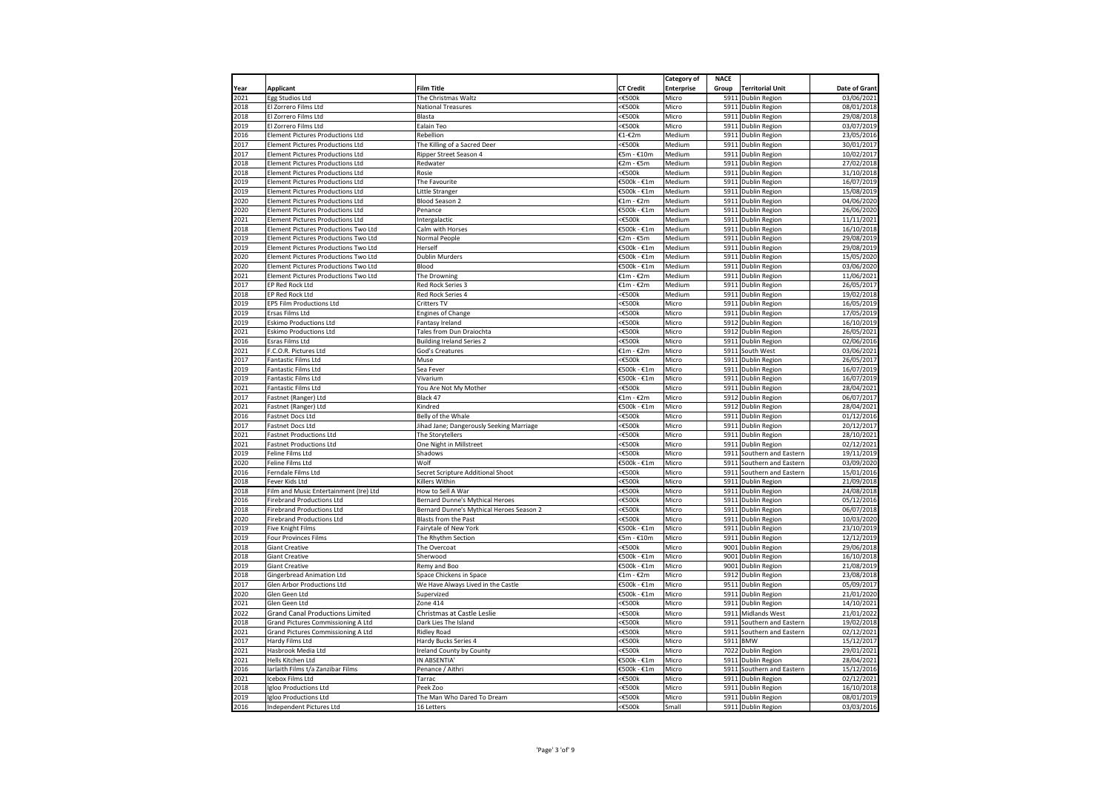|      |                                           |                                          |                  | Category of       | <b>NACE</b> |                         |               |
|------|-------------------------------------------|------------------------------------------|------------------|-------------------|-------------|-------------------------|---------------|
| Year | <b>Applicant</b>                          | <b>Film Title</b>                        | <b>CT Credit</b> | <b>Enterprise</b> | Group       | <b>Territorial Unit</b> | Date of Grant |
| 2021 | Egg Studios Ltd                           | The Christmas Waltz                      | <€500k           | Micro             | 5911        | Dublin Region           | 03/06/202     |
| 018  | El Zorrero Films Ltd                      | <b>National Treasures</b>                | <€500k           | Micro             | 5911        | Dublin Region           | 08/01/201     |
| 018  | El Zorrero Films Ltd                      | Blasta                                   | <€500k           | Micro             | 5911        | <b>Dublin Region</b>    | 29/08/201     |
| 019  | El Zorrero Films Ltd                      | Ealain Teo                               | $<\epsilon$ 500k | Micro             |             | 5911 Dublin Region      | 03/07/2019    |
| 016  | Element Pictures Productions Ltd          | Rebellion                                | €1-€2m           | Medium            | 5911        | Dublin Region           | 23/05/201     |
| 2017 | <b>Element Pictures Productions Ltd</b>   | The Killing of a Sacred Deer             | <€500k           | Medium            | 5911        | Dublin Region           | 30/01/201     |
| 2017 | <b>Element Pictures Productions Ltd</b>   | Ripper Street Season 4                   | €5m - €10m       | Medium            |             | 5911 Dublin Region      | 10/02/201     |
| 2018 | Element Pictures Productions Ltd          | Redwater                                 | €2m - €5m        | Medium            |             | 5911 Dublin Region      | 27/02/201     |
| 2018 | <b>Element Pictures Productions Ltd</b>   | Rosie                                    | ≤€500k           | Medium            |             | 5911 Dublin Region      | 31/10/2018    |
| 2019 | <b>Element Pictures Productions Ltd</b>   | The Favourite                            | €500k - €1m      | Medium            |             | 5911 Dublin Region      | 16/07/2019    |
| 019  | Element Pictures Productions Ltd          | Little Stranger                          | €500k - €1m      | Medium            |             | 5911 Dublin Region      | 15/08/201     |
| 020  | <b>Element Pictures Productions Ltd</b>   | Blood Season 2                           | €1m - €2m        | Medium            |             | 5911 Dublin Region      | 04/06/2020    |
| 020  | <b>Element Pictures Productions Ltd</b>   | Penance                                  | €500k - €1m      | Medium            |             | 5911 Dublin Region      | 26/06/202     |
| 021  | <b>Element Pictures Productions Ltd</b>   | Intergalactic                            | <€500k           | Medium            |             | 5911 Dublin Region      | 11/11/2021    |
| 018  | Element Pictures Productions Two Ltd      | Calm with Horses                         | €500k - €1m      | Medium            |             | 5911 Dublin Region      | 16/10/201     |
| 019  | Element Pictures Productions Two Ltd      | Normal People                            | €2m - €5m        | Medium            |             | 5911 Dublin Region      | 29/08/201     |
| 019  | Element Pictures Productions Two Ltd      | Herself                                  | €500k - €1m      | Medium            |             | 5911 Dublin Region      | 29/08/2019    |
| 2020 | Element Pictures Productions Two Ltd      | <b>Dublin Murders</b>                    | €500k - €1m      | Medium            | 5911        | Dublin Region           | 15/05/2020    |
|      |                                           |                                          |                  |                   |             |                         |               |
| 2020 | Element Pictures Productions Two Ltd      | Blood                                    | €500k - €1m      | Medium            |             | 5911 Dublin Region      | 03/06/2020    |
| 2021 | Element Pictures Productions Two Ltd      | The Drowning                             | €1m - €2m        | Medium            |             | 5911 Dublin Region      | 11/06/202     |
| 2017 | EP Red Rock Ltd                           | Red Rock Series 3                        | €1m - €2m        | Medium            |             | 5911 Dublin Region      | 26/05/201     |
| 018  | <b>EP Red Rock Ltd</b>                    | Red Rock Series 4                        | <€500k           | Medium            |             | 5911 Dublin Region      | 19/02/2018    |
| 2019 | EP5 Film Productions Ltd                  | Critters TV                              | <€500k           | Micro             |             | 5911 Dublin Region      | 16/05/2019    |
| 019  | Ersas Films Ltd                           | <b>Engines of Change</b>                 | <€500k           | Micro             |             | 5911 Dublin Region      | 17/05/2019    |
| 019  | <b>Eskimo Productions Ltd</b>             | Fantasy Ireland                          | <€500k           | Micro             | 5912        | Dublin Region           | 16/10/201     |
| 2021 | <b>Eskimo Productions Ltd</b>             | Tales from Dun Draiochta                 | $<$ £500 $k$     | Micro             |             | 5912 Dublin Region      | 26/05/202     |
| 016  | Esras Films Ltd                           | <b>Building Ireland Series 2</b>         | <€500k           | Micro             | 5911        | Dublin Region           | 02/06/201     |
| 021  | F.C.O.R. Pictures Ltd                     | God's Creatures                          | €1m - €2m        | Micro             | 5911        | South West              | 03/06/202     |
| 2017 | Fantastic Films Ltd                       | Muse                                     | <€500k           | Micro             |             | 5911 Dublin Region      | 26/05/2017    |
| 2019 | <b>Fantastic Films Ltd</b>                | Sea Fever                                | €500k - €1m      | Micro             | 5911        | <b>Dublin Region</b>    | 16/07/2019    |
| 2019 | <b>Fantastic Films Ltd</b>                | Vivarium                                 | €500k - €1m      | Micro             | 5911        | Dublin Region           | 16/07/2019    |
| 2021 | Fantastic Films Ltd                       | You Are Not My Mother                    | $<\epsilon$ 500k | Micro             |             | 5911 Dublin Region      | 28/04/2021    |
| 2017 | Fastnet (Ranger) Ltd                      | Black 47                                 | €1m - €2m        | Micro             |             | 5912 Dublin Region      | 06/07/201     |
| 2021 | Fastnet (Ranger) Ltd                      | Kindred                                  | €500k - €1m      | Micro             |             | 5912 Dublin Region      | 28/04/2021    |
| 2016 | Fastnet Docs Ltd                          | Belly of the Whale                       | <€500k           | Micro             |             | 5911 Dublin Region      | 01/12/2016    |
| 017  | Fastnet Docs Ltd                          | Jihad Jane; Dangerously Seeking Marriage | <€500k           | Micro             |             | 5911 Dublin Region      | 20/12/201     |
| 021  | <b>Fastnet Productions Ltd</b>            | The Storytellers                         | <€500k           | Micro             | 5911        | Dublin Region           | 28/10/202     |
| 2021 | <b>Fastnet Productions Ltd</b>            | One Night in Millstreet                  | <€500k           | Micro             |             | 5911 Dublin Region      | 02/12/202     |
| 019  | Feline Films Ltd                          | Shadows                                  | <€500k           | Micro             | 5911        | Southern and Eastern    | 19/11/201     |
| 020  | Feline Films Ltd                          | Wolf                                     | €500k - €1m      | Micro             | 5911        | Southern and Eastern    | 03/09/202     |
| 2016 | Ferndale Films Ltd                        | Secret Scripture Additional Shoot        | <€500k           | Micro             | 5911        | Southern and Eastern    | 15/01/2016    |
| 018  | Fever Kids Ltd                            | Killers Within                           | <€500k           | Micro             | 5911        |                         | 21/09/201     |
|      |                                           |                                          |                  |                   |             | Dublin Region           |               |
| 2018 | Film and Music Entertainment (Ire) Ltd    | How to Sell A War                        | <€500k           | Micro             | 5911        | Dublin Region           | 24/08/2018    |
| 2016 | <b>Firebrand Productions Ltd</b>          | Bernard Dunne's Mythical Heroes          | <€500k           | Micro             |             | 5911 Dublin Region      | 05/12/2016    |
| 2018 | <b>Firebrand Productions Ltd</b>          | Bernard Dunne's Mythical Heroes Season 2 | <€500k           | Micro             |             | 5911 Dublin Region      | 06/07/201     |
| 2020 | <b>Firebrand Productions Ltd</b>          | Blasts from the Past                     | <b>€500k</b>     | Micro             |             | 5911 Dublin Region      | 10/03/202     |
| 2019 | Five Knight Films                         | Fairytale of New York                    | €500k - €1m      | Micro             |             | 5911 Dublin Region      | 23/10/2019    |
| 019  | Four Provinces Films                      | The Rhythm Section                       | €5m - €10m       | Micro             |             | 5911 Dublin Region      | 12/12/2019    |
| 018  | <b>Giant Creative</b>                     | The Overcoat                             | <€500k           | Micro             |             | 9001 Dublin Region      | 29/06/201     |
| 018  | <b>Giant Creative</b>                     | Sherwood                                 | €500k - €1m      | Micro             | 9001        | Dublin Region           | 16/10/201     |
| 2019 | <b>Giant Creative</b>                     | Remy and Boo                             | €500k - €1m      | Micro             | 9001        | Dublin Region           | 21/08/2019    |
| 018  | <b>Gingerbread Animation Ltd</b>          | Space Chickens in Space                  | €1m - €2m        | Micro             | 5912        | Dublin Region           | 23/08/201     |
| 017  | Glen Arbor Productions Ltd                | We Have Always Lived in the Castle       | €500k - €1m      | Micro             | 9511        | Dublin Region           | 05/09/201     |
| 2020 | Glen Geen Ltd                             | Supervized                               | €500k - €1m      | Micro             |             | 5911 Dublin Region      | 21/01/2020    |
| 2021 | Glen Geen Ltd                             | Zone 414                                 | <€500k           | Micro             | 5911        | Dublin Region           | 14/10/202     |
| 2022 | <b>Grand Canal Productions Limited</b>    | Christmas at Castle Leslie               | <€500k           | Micro             | 5911        | Midlands West           | 21/01/202     |
| 2018 | Grand Pictures Commissioning A Ltd        | Dark Lies The Island                     | <€500k           | Micro             | 5911        | Southern and Eastern    | 19/02/201     |
| 021  | <b>Grand Pictures Commissioning A Ltd</b> | <b>Ridley Road</b>                       | <€500k           | Micro             | 5911        | Southern and Eastern    | 02/12/202     |
|      |                                           |                                          | $<\epsilon$ 500k | Micro             |             | 5911 BMW                | 15/12/201     |
| 2017 | Hardy Films Ltd                           | Hardy Bucks Series 4                     |                  |                   |             |                         |               |
| 2021 | Hasbrook Media Ltd                        | Ireland County by County                 | <€500k           | Micro             |             | 7022 Dublin Region      | 29/01/202     |
| 2021 | Hells Kitchen Ltd                         | IN ABSENTIA                              | €500k - €1m      | Micro             | 5911        | Dublin Region           | 28/04/202     |
| 2016 | Iarlaith Films t/a Zanzibar Films         | Penance / Aithri                         | €500k - €1m      | Micro             | 5911        | Southern and Eastern    | 15/12/201     |
| 021  | Icebox Films Ltd                          | Tarrac                                   | <€500k           | Micro             | 5911        | Dublin Region           | 02/12/202     |
| 018  | Igloo Productions Ltd                     | Peek Zoo                                 | <b>€500k</b>     | Micro             | 5911        | Dublin Region           | 16/10/201     |
| 2019 | Igloo Productions Ltd                     | The Man Who Dared To Dream               | <€500k           | Micro             |             | 5911 Dublin Region      | 08/01/2019    |
| 2016 | Independent Pictures Ltd                  | 16 Letters                               | <€500k           | Small             |             | 5911 Dublin Region      | 03/03/2016    |
|      |                                           |                                          |                  |                   |             |                         |               |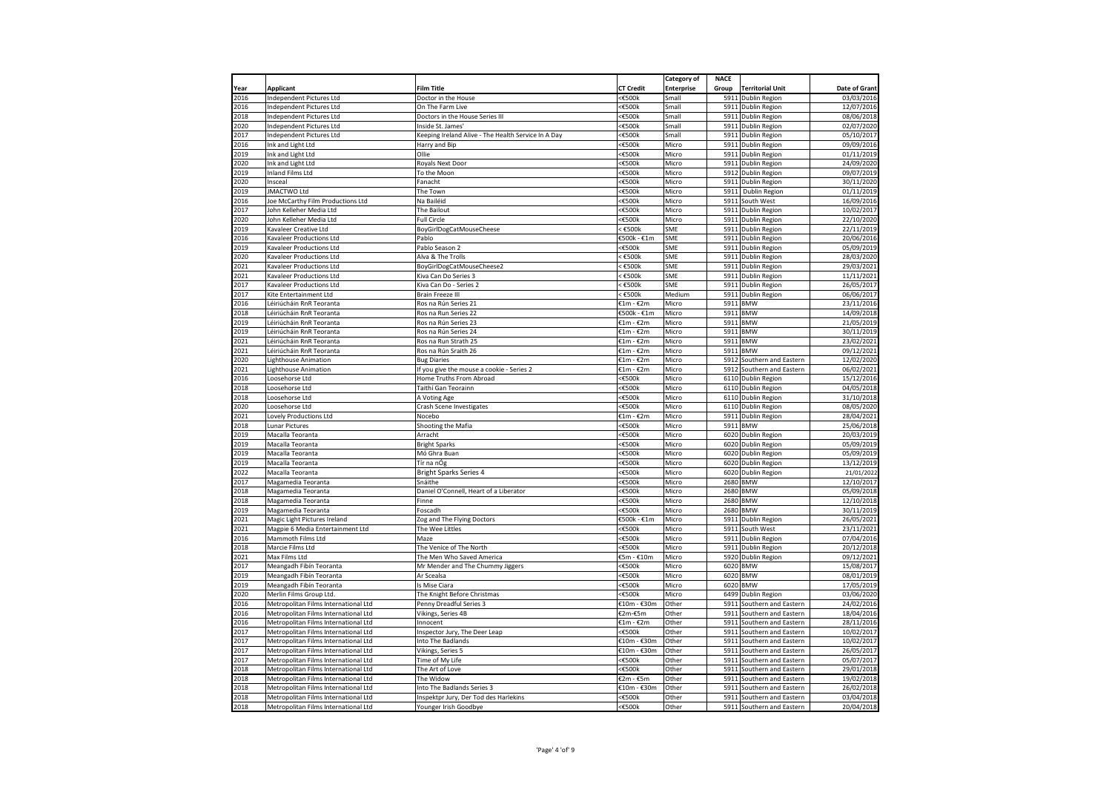|              |                                      |                                                                      |                     | Category of       | <b>NACE</b> |                                          |                          |
|--------------|--------------------------------------|----------------------------------------------------------------------|---------------------|-------------------|-------------|------------------------------------------|--------------------------|
| Year         | <b>Applicant</b>                     | Film Title                                                           | <b>CT Credit</b>    | <b>Enterprise</b> | Group       | <b>Territorial Unit</b>                  | Date of Grant            |
| 2016         | Independent Pictures Ltd             | Doctor in the House                                                  | <€500k              | Small             |             | 5911 Dublin Region                       | 03/03/2016               |
| 2016         | <b>Independent Pictures Ltd</b>      | On The Farm Live                                                     | <€500k              | Small             |             | 5911 Dublin Region                       | 12/07/2016               |
| 2018         | <b>Independent Pictures Ltd</b>      | Doctors in the House Series III                                      | <€500k              | Small             |             | 5911 Dublin Region                       | 08/06/2018               |
| 2020         | <b>Independent Pictures Ltd</b>      | Inside St. James                                                     | $\epsilon500k$      | Small             |             | 5911 Dublin Region                       | 02/07/2020               |
| 2017         | Independent Pictures Ltd             | Keeping Ireland Alive - The Health Service In A Day                  | <€500k              | Small             |             | 5911 Dublin Region                       | 05/10/2017               |
| 2016         | Ink and Light Ltd                    | Harry and Bip                                                        | <€500k              | Micro             | 5911        | <b>Dublin Region</b>                     | 09/09/2016               |
| 2019         | Ink and Light Ltd                    | Ollie                                                                | <€500k              | Micro             |             | 5911 Dublin Region                       | 01/11/2019               |
| 2020         | Ink and Light Ltd                    | Royals Next Door                                                     | <€500k              | Micro             |             | 5911 Dublin Region                       | 24/09/2020               |
| 2019         | <b>Inland Films Ltd</b>              | To the Moon                                                          | $<\epsilon$ 500k    | Micro             |             | 5912 Dublin Region                       | 09/07/2019               |
| 2020         | Insceal                              | Fanacht                                                              | <€500k              | Micro             | 5911        | <b>Dublin Region</b>                     | 30/11/2020               |
| 2019         | <b>JMACTWO Ltd</b>                   | The Town                                                             | <€500k              | Micro             | 5911        | Dublin Region                            | 01/11/2019               |
| 2016         | Joe McCarthy Film Productions Ltd    | Na Bailéid                                                           | <€500k              | Micro             | 5911        | South West                               | 16/09/2016               |
| 2017         | John Kelleher Media Ltd              | The Bailout                                                          | <€500k              | Micro             |             | 5911 Dublin Region                       | 10/02/2017               |
| 2020         | John Kelleher Media Ltd              | Full Circle                                                          | <€500k              | Micro             |             | 5911 Dublin Region                       | 22/10/2020               |
| 2019         | Kavaleer Creative Ltd                | <b>BoyGirlDogCatMouseCheese</b>                                      | $<$ €500 $k$        | SME               |             | 5911 Dublin Region                       | 22/11/2019               |
| 2016         | Kavaleer Productions Ltd             | Pablo                                                                | €500k - €1m         | SME               |             | 5911 Dublin Region                       | 20/06/2016               |
| 2019         | Kavaleer Productions Ltd             | Pablo Season 2                                                       | <€500k              | SME               |             | 5911 Dublin Region                       | 05/09/2019               |
| 2020         | Kavaleer Productions Ltd             | Alva & The Trolls                                                    | $<$ €500 $k$        | SME               |             | 5911 Dublin Region                       | 28/03/2020               |
| 2021         | Kavaleer Productions Ltd             | BoyGirlDogCatMouseCheese2                                            | $<$ €500 $k$        | SME               |             | 5911 Dublin Region                       | 29/03/2021               |
| 2021         | Kavaleer Productions Ltd             | Kiva Can Do Series 3                                                 | $<$ €500 $k$        | SME               | 5911        | <b>Dublin Region</b>                     | 11/11/2021               |
| 2017         | Kavaleer Productions Ltd             | Kiva Can Do - Series 2                                               | $<$ £500 $k$        | SME               |             | 5911 Dublin Region                       | 26/05/2017               |
| 2017         | Kite Entertainment Ltd               | <b>Brain Freeze III</b>                                              | $<$ €500 $k$        | Medium            | 5911        | <b>Dublin Region</b>                     | 06/06/2017               |
| 2016         | Léiriúcháin RnR Teoranta             | Ros na Rún Series 21                                                 | €1m - €2m           | Micro             | 5911        | <b>BMW</b>                               | 23/11/2016               |
| 2018         | Léiriúcháin RnR Teoranta             | Ros na Run Series 22                                                 | €500k - €1m         | Micro             |             | 5911 BMW                                 | 14/09/2018               |
| 2019         | Léiriúcháin RnR Teoranta             | Ros na Rún Series 23                                                 | €1m - €2m           | Micro             |             | 5911 BMW                                 | 21/05/2019               |
| 2019         | Léiriúcháin RnR Teoranta             | Ros na Rún Series 24                                                 | €1m - €2m           | Micro             | 5911        | <b>BMW</b>                               | 30/11/2019               |
| 2021         | Léiriúcháin RnR Teoranta             | Ros na Run Strath 25                                                 | €1m - €2m           | Micro             | 5911        | <b>BMW</b>                               | 23/02/2021               |
| 2021         | Léiriúcháin RnR Teoranta             | Ros na Rún Sraith 26                                                 | €1m - €2m           | Micro             |             | 5911 BMW                                 | 09/12/2021               |
| 2020         | Lighthouse Animation                 | <b>Bug Diaries</b>                                                   | €1m - €2m           | Micro             |             | 5912 Southern and Eastern                | 12/02/2020               |
| 2021<br>2016 | Lighthouse Animation                 | If you give the mouse a cookie - Series 2<br>Home Truths From Abroad | €1m - €2m<br><€500k | Micro             | 5912        | Southern and Eastern                     | 06/02/2021               |
| 2018         | Loosehorse Ltd<br>Loosehorse Ltd     | Taithí Gan Teorainn                                                  | <€500k              | Micro<br>Micro    |             | 6110 Dublin Region<br>6110 Dublin Region | 15/12/2016<br>04/05/2018 |
| 2018         | Loosehorse Ltd                       | A Voting Age                                                         | <€500k              | Micro             |             | 6110 Dublin Region                       | 31/10/2018               |
| 2020         | Loosehorse Ltd                       | Crash Scene Investigates                                             | <€500k              | Micro             |             | 6110 Dublin Region                       | 08/05/2020               |
| 2021         | Lovely Productions Ltd               | Nocebo                                                               | €1m - €2m           | Micro             |             | 5911 Dublin Region                       | 28/04/2021               |
| 2018         | Lunar Pictures                       | Shooting the Mafia                                                   | <€500k              | Micro             |             | 5911 BMW                                 | 25/06/2018               |
| 2019         | Macalla Teoranta                     | Arracht                                                              | <€500k              | Micro             |             | 6020 Dublin Region                       | 20/03/2019               |
| 2019         | Macalla Teoranta                     | <b>Bright Sparks</b>                                                 | $<\epsilon$ 500k    | Micro             |             | 6020 Dublin Region                       | 05/09/2019               |
| 019          | Macalla Teoranta                     | Mó Ghra Buan                                                         | <€500k              | Micro             |             | 6020 Dublin Region                       | 05/09/2019               |
| 2019         | Macalla Teoranta                     | Tír na nÓg                                                           | <€500k              | Micro             |             | 6020 Dublin Region                       | 13/12/2019               |
| 2022         | Macalla Teoranta                     | <b>Bright Sparks Series 4</b>                                        | <€500k              | Micro             |             | 6020 Dublin Region                       | 21/01/2022               |
| 2017         | Magamedia Teoranta                   | Snáithe                                                              | <€500k              | Micro             | 2680        | <b>BMW</b>                               | 12/10/2017               |
| 2018         | Magamedia Teoranta                   | Daniel O'Connell, Heart of a Liberator                               | <€500k              | Micro             | 2680        | <b>BMW</b>                               | 05/09/2018               |
| 2018         | Magamedia Teoranta                   | Finne                                                                | <€500k              | Micro             | 2680        | <b>BMW</b>                               | 12/10/2018               |
| 2019         | Magamedia Teoranta                   | Foscadh                                                              | <€500k              | Micro             | 2680        | <b>BMW</b>                               | 30/11/2019               |
| 2021         | Magic Light Pictures Ireland         | Zog and The Flying Doctors                                           | €500k - €1m         | Micro             | 5911        | <b>Dublin Region</b>                     | 26/05/2021               |
| 2021         | Magpie 6 Media Entertainment Ltd     | The Wee Littles                                                      | <€500k              | Micro             | 5911        | South West                               | 23/11/2021               |
| 2016         | Mammoth Films Ltd                    | Maze                                                                 | <€500k              | Micro             |             | 5911 Dublin Region                       | 07/04/2016               |
| 2018         | Marcie Films Ltd                     | The Venice of The North                                              | <€500k              | Micro             |             | 5911 Dublin Region                       | 20/12/2018               |
| 2021         | Max Films Ltd                        | The Men Who Saved America                                            | €5m - €10m          | Micro             |             | 5920 Dublin Region                       | 09/12/2021               |
| 2017         | Meangadh Fibín Teoranta              | Mr Mender and The Chummy Jiggers                                     | $<\epsilon$ 500k    | Micro             | 6020        | <b>BMW</b>                               | 15/08/2017               |
| 019          | Meangadh Fibín Teoranta              | Ar Scealsa                                                           | <€500k              | Micro             | 6020        | <b>BMW</b>                               | 08/01/2019               |
| 2019         | Meangadh Fibín Teoranta              | s Mise Ciara                                                         | <€500k              | Micro             | 6020        | <b>BMW</b>                               | 17/05/2019               |
| 2020         | Merlin Films Group Ltd.              | The Knight Before Christmas                                          | <€500k              | Micro             | 6499        | Dublin Region                            | 03/06/2020               |
| 2016         | Metropolitan Films International Ltd | Penny Dreadful Series 3                                              | €10m - €30m         | Other             |             | 5911 Southern and Eastern                | 24/02/2016               |
| 2016         | Metropolitan Films International Ltd | Vikings, Series 4B                                                   | €2m-€5m             | Other             | 5911        | Southern and Eastern                     | 18/04/2016               |
| 2016         | Metropolitan Films International Ltd | Innocent                                                             | €1m - €2m           | Other             | 5911        | Southern and Eastern                     | 28/11/2016               |
| 2017         | Metropolitan Films International Ltd | Inspector Jury, The Deer Leap                                        | <€500k              | Other             | 5911        | Southern and Eastern                     | 10/02/2017               |
| 2017         | Metropolitan Films International Ltd | Into The Badlands                                                    | €10m - €30m         | Other             | 5911        | Southern and Eastern                     | 10/02/2017               |
| 2017         | Metropolitan Films International Ltd | Vikings, Series 5                                                    | €10m - €30m         | Other             | 5911        | Southern and Eastern                     | 26/05/2017               |
| 2017         | Metropolitan Films International Ltd | Time of My Life                                                      | <€500k              | Other             | 5911        | Southern and Eastern                     | 05/07/2017               |
| 2018         | Metropolitan Films International Ltd | The Art of Love                                                      | <€500k              | Other             | 5911        | Southern and Eastern                     | 29/01/2018               |
| 2018         | Metropolitan Films International Ltd | The Widow                                                            | €2m - €5m           | Other             | 5911        | Southern and Eastern                     | 19/02/2018               |
| 2018         | Metropolitan Films International Ltd | Into The Badlands Series 3                                           | €10m - €30m         | Other             | 5911        | Southern and Eastern                     | 26/02/2018               |
| 2018         | Metropolitan Films International Ltd | Inspektpr Jury, Der Tod des Harlekins                                | <€500k              | Other             | 5911        | Southern and Eastern                     | 03/04/2018               |
| 2018         | Metropolitan Films International Ltd | Younger Irish Goodbye                                                | <€500k              | Other             |             | 5911 Southern and Eastern                | 20/04/2018               |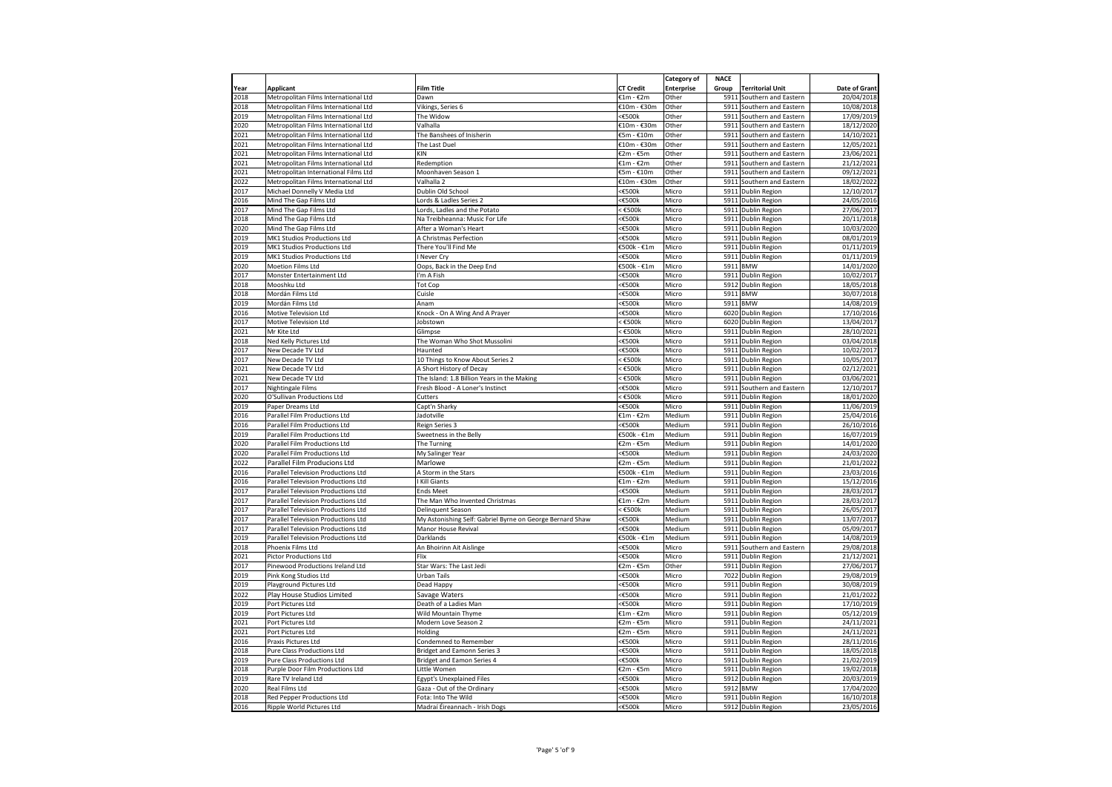|              |                                                                              |                                                           |                          | Category of       | <b>NACE</b>  |                                              |                          |
|--------------|------------------------------------------------------------------------------|-----------------------------------------------------------|--------------------------|-------------------|--------------|----------------------------------------------|--------------------------|
| Year         | <b>Applicant</b>                                                             | Film Title                                                | <b>CT Credit</b>         | <b>Enterprise</b> | Group        | <b>Territorial Unit</b>                      | Date of Grant            |
| 2018         | Metropolitan Films International Ltd                                         | Dawn                                                      | €1m - €2m                | Other             | 5911         | Southern and Eastern                         | 20/04/2018               |
| 2018         | Metropolitan Films International Ltd                                         | Vikings, Series 6                                         | €10m - €30m              | Other             | 5911         | Southern and Eastern                         | 10/08/2018               |
| 2019<br>2020 | Metropolitan Films International Ltd                                         | The Widow<br>Valhalla                                     | <€500k                   | Other<br>Other    | 5911<br>5911 | Southern and Eastern                         | 17/09/2019               |
|              | Metropolitan Films International Ltd                                         |                                                           | €10m - €30m              |                   |              | Southern and Eastern                         | 18/12/2020               |
| 2021         | Metropolitan Films International Ltd                                         | The Banshees of Inisherin                                 | €5m - €10m               | Other             |              | 5911 Southern and Eastern                    | 14/10/2021               |
| 2021<br>2021 | Metropolitan Films International Ltd<br>Metropolitan Films International Ltd | The Last Duel<br>KIN                                      | €10m - €30m<br>€2m - €5m | Other<br>Other    | 5911<br>5911 | Southern and Eastern<br>Southern and Eastern | 12/05/2021<br>23/06/2021 |
| 2021         | Metropolitan Films International Ltd                                         | Redemption                                                | €1m - €2m                | Other             | 5911         | Southern and Eastern                         | 21/12/2021               |
| 2021         | Metropolitan International Films Ltd                                         | Moonhaven Season 1                                        | €5m - €10m               | Other             |              | 5911 Southern and Eastern                    | 09/12/2021               |
| 2022         | Metropolitan Films International Ltd                                         | Valhalla 2                                                | €10m - €30m              | Other             |              | 5911 Southern and Eastern                    | 18/02/2022               |
| 2017         | Michael Donnelly V Media Ltd                                                 | Dublin Old School                                         | <€500k                   | Micro             |              | 5911 Dublin Region                           | 12/10/2017               |
| 2016         | Mind The Gap Films Ltd                                                       | Lords & Ladles Series 2                                   | <€500k                   | Micro             |              | 5911 Dublin Region                           | 24/05/2016               |
| 2017         | Mind The Gap Films Ltd                                                       | Lords, Ladles and the Potato                              | < €500k                  | Micro             |              | 5911 Dublin Region                           | 27/06/2017               |
| 2018         | Mind The Gap Films Ltd                                                       | Na Treibheanna: Music For Life                            | <€500k                   | Micro             |              | 5911 Dublin Region                           | 20/11/2018               |
| 2020         | Mind The Gap Films Ltd                                                       | After a Woman's Heart                                     | <€500k                   | Micro             |              | 5911 Dublin Region                           | 10/03/2020               |
| 2019         | MK1 Studios Productions Ltd                                                  | A Christmas Perfection                                    | <€500k                   | Micro             |              | 5911 Dublin Region                           | 08/01/2019               |
| 2019         | MK1 Studios Productions Ltd                                                  | There You'll Find Me                                      | €500k - €1m              | Micro             | 5911         | Dublin Region                                | 01/11/2019               |
| 2019         | MK1 Studios Productions Ltd                                                  | Never Cry                                                 | <€500k                   | Micro             | 5911         | Dublin Region                                | 01/11/2019               |
| 2020         | Moetion Films Ltd                                                            | Oops, Back in the Deep End                                | €500k - €1m              | Micro             |              | 5911 BMW                                     | 14/01/2020               |
| 2017         | Monster Entertainment Ltd                                                    | I'm A Fish                                                | <b>€500k</b>             | Micro             | 5911         | Dublin Region                                | 10/02/2017               |
| 2018         | Mooshku Ltd                                                                  | <b>Tot Cop</b>                                            | <€500k                   | Micro             |              | 5912 Dublin Region                           | 18/05/2018               |
| 2018         | Mordán Films Ltd                                                             | Cuisle                                                    | <€500k                   | Micro             |              | 5911 BMW                                     | 30/07/2018               |
| 2019         | Mordán Films Ltd                                                             | Anam                                                      | <€500k                   | Micro             |              | 5911 BMW                                     | 14/08/2019               |
| 2016         | Motive Television Ltd                                                        | Knock - On A Wing And A Prayer                            | <€500k                   | Micro             |              | 6020 Dublin Region                           | 17/10/2016               |
| 2017         | Motive Television Ltd                                                        | Jobstown                                                  | : €500k                  | Micro             |              | 6020 Dublin Region                           | 13/04/2017               |
| 2021         | Mr Kite Ltd                                                                  | Glimpse                                                   | $<$ £500 $k$             | Micro             |              | 5911 Dublin Region                           | 28/10/2021               |
| 2018         | Ned Kelly Pictures Ltd                                                       | The Woman Who Shot Mussolini                              | <€500k                   | Micro             |              | 5911 Dublin Region                           | 03/04/2018               |
| 2017         | New Decade TV Ltd                                                            | Haunted                                                   | <€500k                   | Micro             | 5911         | Dublin Region                                | 10/02/2017               |
| 2017         | New Decade TV Ltd                                                            | 10 Things to Know About Series 2                          | $\epsilon$ £500k         | Micro             |              | 5911 Dublin Region                           | 10/05/2017               |
| 2021         | New Decade TV Ltd                                                            | A Short History of Decay                                  | ≤ €500k                  | Micro             | 5911         | Dublin Region                                | 02/12/2021               |
| 2021         | New Decade TV Ltd                                                            | The Island: 1.8 Billion Years in the Making               | €500k                    | Micro             | 5911         | Dublin Region                                | 03/06/2021               |
| 2017         | Nightingale Films                                                            | Fresh Blood - A Loner's Instinct                          | <€500k                   | Micro             |              | 5911 Southern and Eastern                    | 12/10/2017               |
| 2020         | O'Sullivan Productions Ltd                                                   | Cutters                                                   | ≤ €500k                  | Micro             |              | 5911 Dublin Region                           | 18/01/2020               |
| 2019         | Paper Dreams Ltd                                                             | Capt'n Sharky                                             | <€500k                   | Micro             |              | 5911 Dublin Region                           | 11/06/2019               |
| 2016         | Parallel Film Productions Ltd                                                | Jadotville                                                | €1m - €2m                | Medium            |              | 5911 Dublin Region                           | 25/04/2016               |
| 2016         | Parallel Film Productions Ltd                                                | Reign Series 3                                            | <€500k                   | Medium            |              | 5911 Dublin Region                           | 26/10/2016               |
| 2019         | Parallel Film Productions Ltd                                                | Sweetness in the Belly                                    | €500k - €1m              | Medium            |              | 5911 Dublin Region                           | 16/07/2019               |
| 2020         | Parallel Film Productions Ltd                                                | The Turning                                               | €2m - €5m                | Medium            | 5911         | Dublin Region                                | 14/01/2020               |
| 2020         | Parallel Film Productions Ltd                                                | My Salinger Year                                          | <€500k                   | Medium            |              | 5911 Dublin Region                           | 24/03/2020               |
| 2022         | Parallel Film Producions Ltd                                                 | Marlowe                                                   | €2m - €5m                | Medium            | 5911         | <b>Dublin Region</b>                         | 21/01/2022               |
| 2016         | Parallel Television Productions Ltd                                          | A Storm in the Stars                                      | €500k - €1m              | Medium            | 5911         | Dublin Region                                | 23/03/2016               |
| 2016         | Parallel Television Productions Ltd                                          | Kill Giants                                               | €1m - €2m                | Medium            | 5911         | Dublin Region                                | 15/12/2016               |
| 2017         | Parallel Television Productions Ltd                                          | <b>Ends Meet</b>                                          | <€500k                   | Medium            | 5911         | <b>Dublin Region</b>                         | 28/03/2017               |
| 2017         | Parallel Television Productions Ltd                                          | The Man Who Invented Christmas                            | €1m - €2m                | Medium            | 5911         | <b>Dublin Region</b>                         | 28/03/2017               |
| 2017         | Parallel Television Productions Ltd                                          | Delinquent Season                                         | $<$ €500 $k$             | Medium            | 5911         | Dublin Region                                | 26/05/2017               |
| 2017         | Parallel Television Productions Ltd                                          | My Astonishing Self: Gabriel Byrne on George Bernard Shaw | <€500k                   | Medium            |              | 5911 Dublin Region                           | 13/07/2017               |
| 2017         | Parallel Television Productions Ltd                                          | Manor House Revival                                       | <€500k                   | Medium            | 5911         | Dublin Region                                | 05/09/2017               |
| 2019         | Parallel Television Productions Ltd                                          | Darklands                                                 | €500k - €1m              | Medium            |              | 5911 Dublin Region                           | 14/08/2019               |
| 2018         | Phoenix Films Ltd                                                            | An Bhoirinn Ait Aislinge                                  | <€500k                   | Micro             |              | 5911 Southern and Eastern                    | 29/08/2018               |
| 2021         | Pictor Productions Ltd                                                       | Flix                                                      | <€500k                   | Micro             |              | 5911 Dublin Region                           | 21/12/2021               |
| 2017         | Pinewood Productions Ireland Ltd                                             | Star Wars: The Last Jedi                                  | €2m - €5m                | Other             |              | 5911 Dublin Region                           | 27/06/2017               |
| 2019         | Pink Kong Studios Ltd                                                        | Urban Tails                                               | <€500k                   | Micro             |              | 7022 Dublin Region                           | 29/08/2019               |
| 2019         | Playground Pictures Ltd                                                      | Dead Happy                                                | <€500k                   | Micro             |              | 5911 Dublin Region                           | 30/08/2019               |
| 2022         | Play House Studios Limited                                                   | Savage Waters                                             | <€500k                   | Micro             |              | 5911 Dublin Region                           | 21/01/2022               |
| 2019         | Port Pictures Ltd                                                            | Death of a Ladies Man                                     | <€500k                   | Micro             |              | 5911 Dublin Region                           | 17/10/2019               |
| 2019         | Port Pictures Ltd                                                            | Wild Mountain Thyme                                       | €1m - €2m                | Micro             | 5911         | Dublin Region                                | 05/12/2019               |
| 2021         | Port Pictures Ltd                                                            | Modern Love Season 2                                      | €2m - €5m                | Micro             | 5911         | Dublin Region                                | 24/11/2021               |
| 2021         | Port Pictures Ltd                                                            | Holding                                                   | €2m - €5m                | Micro             |              | 5911 Dublin Region                           | 24/11/2021               |
| 2016         | Praxis Pictures Ltd                                                          | Condemned to Remember                                     | <€500k                   | Micro             |              | 5911 Dublin Region                           | 28/11/2016               |
| 2018         | Pure Class Productions Ltd                                                   | <b>Bridget and Eamonn Series 3</b>                        | <€500k                   | Micro             |              | 5911 Dublin Region                           | 18/05/2018               |
| 2019         | Pure Class Productions Ltd                                                   | <b>Bridget and Eamon Series 4</b>                         | <€500k                   | Micro             |              | 5911 Dublin Region                           | 21/02/2019               |
| 2018         | Purple Door Film Productions Ltd                                             | Little Women                                              | €2m - €5m                | Micro             |              | 5911 Dublin Region                           | 19/02/2018               |
| 2019         | Rare TV Ireland Ltd                                                          | <b>Egypt's Unexplained Files</b>                          | <€500k                   | Micro             |              | 5912 Dublin Region                           | 20/03/2019               |
| 2020         | Real Films Ltd                                                               | Gaza - Out of the Ordinary                                | <€500k                   | Micro             | 5912         | <b>BMW</b>                                   | 17/04/2020               |
|              |                                                                              |                                                           |                          | Micro             |              | 5911 Dublin Region                           | 16/10/2018               |
| 2018         | Red Pepper Productions Ltd                                                   | Fota: Into The Wild                                       | <€500k<br><€500k         |                   |              | 5912 Dublin Region                           | 23/05/2016               |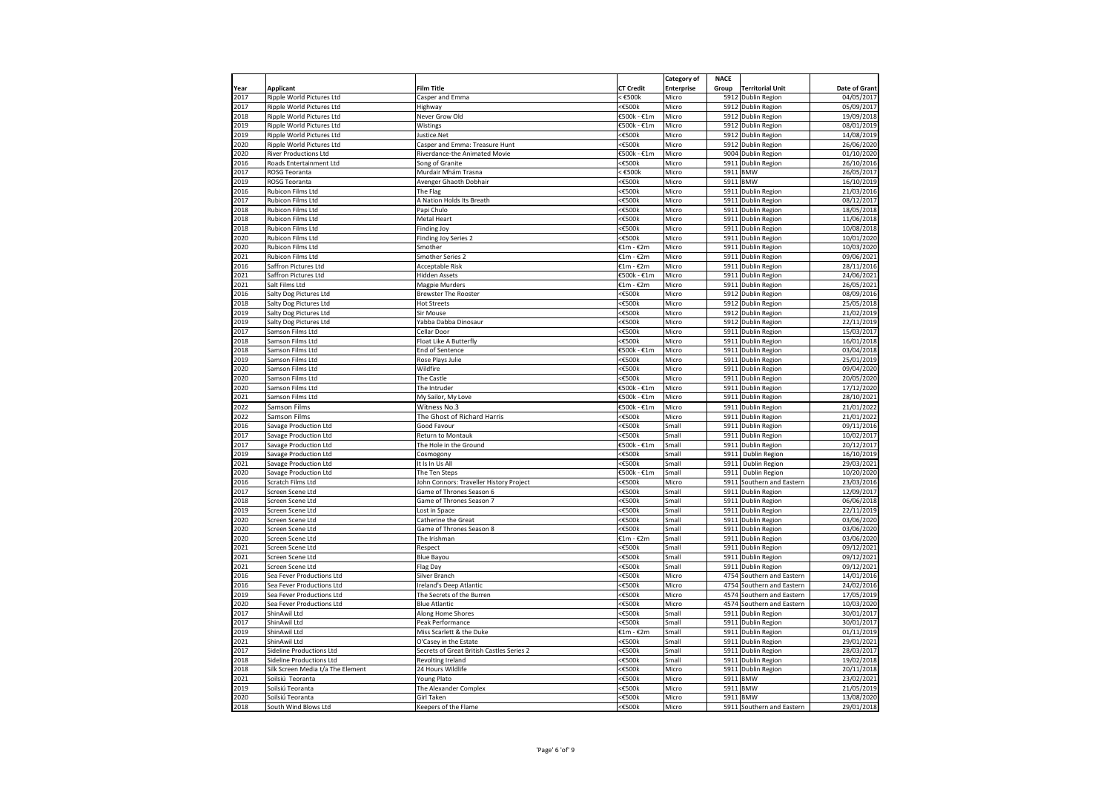|              |                                   |                                           |                  | Category of       | <b>NACE</b> |                           |                          |
|--------------|-----------------------------------|-------------------------------------------|------------------|-------------------|-------------|---------------------------|--------------------------|
| Year         | <b>Applicant</b>                  | <b>Film Title</b>                         | <b>CT Credit</b> | <b>Enterprise</b> | Group       | <b>Territorial Unit</b>   | Date of Grant            |
| 2017         | Ripple World Pictures Ltd         | Casper and Emma                           | $<$ £500 $k$     | Micro             |             | 5912 Dublin Region        | 04/05/2017               |
| 2017         | Ripple World Pictures Ltd         | Highway                                   | <€500k           | Micro             |             | 5912 Dublin Region        | 05/09/2017               |
| 2018         | Ripple World Pictures Ltd         | Never Grow Old                            | €500k - €1m      | Micro             |             | 5912 Dublin Region        | 19/09/2018               |
| 2019         | Ripple World Pictures Ltd         | Wistings                                  | $E500k - E1m$    | Micro             |             | 5912 Dublin Region        | 08/01/2019               |
| 2019         | Ripple World Pictures Ltd         | Justice.Net                               | :€500k           | Micro             |             | 5912 Dublin Region        | 14/08/2019               |
| 2020         | Ripple World Pictures Ltd         | Casper and Emma: Treasure Hunt            | ≤€500k           | Micro             |             | 5912 Dublin Region        | 26/06/2020               |
| 2020         | <b>River Productions Ltd</b>      | Riverdance-the Animated Movie             | €500k - €1m      | Micro             |             | 9004 Dublin Region        | 01/10/2020               |
| 2016         | Roads Entertainment Ltd           | Song of Granite                           | <€500k           | Micro             |             | 5911 Dublin Region        | 26/10/2016               |
| 2017         | ROSG Teoranta                     |                                           | $\leq$ £500 $k$  | Micro             |             | 5911 BMW                  | 26/05/2017               |
| 2019         | ROSG Teoranta                     | Murdair Mhám Trasna                       | <€500k           |                   | 5911        | <b>BMW</b>                |                          |
| 2016         | <b>Rubicon Films Ltd</b>          | Avenger Ghaoth Dobhair<br>The Flag        | :€500k           | Micro<br>Micro    | 5911        |                           | 16/10/2019<br>21/03/2016 |
|              |                                   |                                           |                  |                   |             | Dublin Region             |                          |
| 2017         | Rubicon Films Ltd                 | A Nation Holds Its Breath                 | ≤€500k           | Micro             |             | 5911 Dublin Region        | 08/12/2017               |
| 2018         | Rubicon Films Ltd                 | Papi Chulo                                | <€500k           | Micro             |             | 5911 Dublin Region        | 18/05/2018               |
| 2018         | Rubicon Films Ltd                 | Metal Heart                               | ≤€500k           | Micro             |             | 5911 Dublin Region        | 11/06/2018               |
| 2018         | Rubicon Films Ltd                 | Finding Joy                               | ≤€500k           | Micro             |             | 5911 Dublin Region        | 10/08/2018               |
| 2020         | Rubicon Films Ltd                 | Finding Joy Series 2                      | <€500k           | Micro             |             | 5911 Dublin Region        | 10/01/2020               |
| 2020         | Rubicon Films Ltd                 | Smother                                   | €1m - €2m        | Micro             |             | 5911 Dublin Region        | 10/03/2020               |
| 2021         | Rubicon Films Ltd                 | Smother Series 2                          | €1m - €2m        | Micro             |             | 5911 Dublin Region        | 09/06/2021               |
| 2016         | Saffron Pictures Ltd              | Acceptable Risk                           | €1m - €2m        | Micro             |             | 5911 Dublin Region        | 28/11/2016               |
| 2021         | Saffron Pictures Ltd              | <b>Hidden Assets</b>                      | €500k - €1m      | Micro             |             | 5911 Dublin Region        | 24/06/2021               |
| 2021         | Salt Films Ltd                    | Magpie Murders                            | £1m - €2m        | Micro             | 5911        | Dublin Region             | 26/05/2021               |
| 2016         | Salty Dog Pictures Ltd            | Brewster The Rooster                      | :€500k           | Micro             | 5912        | Dublin Region             | 08/09/2016               |
| 2018         | Salty Dog Pictures Ltd            | <b>Hot Streets</b>                        | (£500‡           | Micro             |             | 5912 Dublin Region        | 25/05/2018               |
| 2019         | Salty Dog Pictures Ltd            | Sir Mouse                                 | <€500k           | Micro             |             | 5912 Dublin Region        | 21/02/2019               |
| 2019         | Salty Dog Pictures Ltd            | Yabba Dabba Dinosaur                      | ≤€500k           | Micro             |             | 5912 Dublin Region        | 22/11/2019               |
| 2017         | Samson Films Ltd                  | Cellar Door                               | <€500k           | Micro             |             | 5911 Dublin Region        | 15/03/2017               |
| 2018         | Samson Films Ltd                  | Float Like A Butterfly                    | <€500k           | Micro             |             | 5911 Dublin Region        | 16/01/2018               |
| 2018         | Samson Films Ltd                  | End of Sentence                           | €500k - €1m      | Micro             |             | 5911 Dublin Region        | 03/04/2018               |
| 2019         | Samson Films Ltd                  | Rose Plays Julie                          | <€500k           | Micro             |             | 5911 Dublin Region        | 25/01/2019               |
| 2020         | Samson Films Ltd                  | Wildfire                                  | ≤€500k           | Micro             |             | 5911 Dublin Region        | 09/04/2020               |
| 2020         | Samson Films Ltd                  | The Castle                                | :€500k           | Micro             |             | 5911 Dublin Region        | 20/05/2020               |
| 2020         | Samson Films Ltd                  | The Intruder                              | $E500k - E1m$    | Micro             | 5911        | <b>Dublin Region</b>      | 17/12/2020               |
| 2021         | Samson Films Ltd                  | My Sailor, My Love                        | €500k - €1m      | Micro             |             | 5911 Dublin Region        | 28/10/2021               |
| 2022         | Samson Films                      | Witness No.3                              | €500k - €1m      | Micro             |             | 5911 Dublin Region        | 21/01/2022               |
| 2022         | Samson Films                      | The Ghost of Richard Harris               | (£500‡           | Micro             |             | 5911 Dublin Region        | 21/01/2022               |
| 2016         | Savage Production Ltd             | Good Favour                               | $500k$           | Small             |             | 5911 Dublin Region        | 09/11/2016               |
| 2017         | Savage Production Ltd             | Return to Montauk                         | ≤€500k           | Small             | 5911        | Dublin Region             | 10/02/2017               |
| 2017         | Savage Production Ltd             | The Hole in the Ground                    | €500k - €1m      | Small             |             | 5911 Dublin Region        | 20/12/2017               |
| 2019         | <b>Savage Production Ltd</b>      | Cosmogony                                 | <€500k           | Small             | 5911        | <b>Dublin Region</b>      | 16/10/2019               |
| 2021         | Savage Production Ltd             | It is in Us All                           | :€500k           | Small             | 5911        | Dublin Region             | 29/03/2021               |
| 2020         | Savage Production Ltd             | The Ten Steps                             | $E500k - E1m$    | Small             | 5911        | Dublin Region             | 10/20/2020               |
| 2016         | Scratch Films Ltd                 | John Connors: Traveller History Project   | :€500k           | Micro             | 5911        | Southern and Eastern      | 23/03/2016               |
| 2017         | Screen Scene Ltd                  | Game of Thrones Season 6                  | ≤€500k           | Small             | 5911        | Dublin Region             | 12/09/2017               |
|              |                                   |                                           | ≤€500k           |                   |             |                           | 06/06/2018               |
| 2018<br>2019 | Screen Scene Ltd                  | Game of Thrones Season 7                  | <€500k           | Small<br>Small    |             | 5911 Dublin Region        | 22/11/2019               |
|              | Screen Scene Ltd                  | Lost in Space                             | ≤€500k           |                   |             | 5911 Dublin Region        |                          |
| 2020         | Screen Scene Ltd                  | Catherine the Great                       |                  | Small             |             | 5911 Dublin Region        | 03/06/2020               |
| 2020         | Screen Scene Ltd                  | Game of Thrones Season 8                  | <€500k           | Small             |             | 5911 Dublin Region        | 03/06/2020               |
| 2020         | Screen Scene Ltd                  | The Irishman                              | €1m - €2m        | Small             | 5911        | Dublin Region             | 03/06/2020               |
| 2021         | Screen Scene Ltd                  | Respect                                   | ≤€500k           | Small             |             | 5911 Dublin Region        | 09/12/2021               |
| 2021         | Screen Scene Ltd                  | <b>Blue Bayou</b>                         | <€500k           | Small             |             | 5911 Dublin Region        | 09/12/2021               |
| 2021         | Screen Scene Ltd                  | Flag Day                                  | ≤€500k           | Small             |             | 5911 Dublin Region        | 09/12/2021               |
| 2016         | Sea Fever Productions Ltd         | Silver Branch                             | <€500k           | Micro             | 4754        | Southern and Eastern      | 14/01/2016               |
| 2016         | Sea Fever Productions Ltd         | Ireland's Deep Atlantic                   | <€500k           | Micro             | 4754        | Southern and Eastern      | 24/02/2016               |
| 2019         | Sea Fever Productions Ltd         | The Secrets of the Burren                 | <€500k           | Micro             |             | 4574 Southern and Eastern | 17/05/2019               |
| 2020         | Sea Fever Productions Ltd         | <b>Blue Atlantic</b>                      | ≤€500k           | Micro             |             | 4574 Southern and Eastern | 10/03/2020               |
| 2017         | ShinAwil Ltd                      | Along Home Shores                         | ≤€500k           | Small             |             | 5911 Dublin Region        | 30/01/2017               |
| 2017         | ShinAwil Ltd                      | Peak Performance                          | ≤€500k           | Small             |             | 5911 Dublin Region        | 30/01/2017               |
| 2019         | ShinAwil Ltd                      | Miss Scarlett & the Duke                  | €1m - €2m        | Small             |             | 5911 Dublin Region        | 01/11/2019               |
| 2021         | ShinAwil Ltd                      | O'Casey in the Estate                     | :€500k           | Small             | 5911        | Dublin Region             | 29/01/2021               |
| 2017         | <b>Sideline Productions Ltd</b>   | Secrets of Great British Castles Series 2 | ≤€500k           | Small             |             | 5911 Dublin Region        | 28/03/2017               |
| 2018         | <b>Sideline Productions Ltd</b>   | Revolting Ireland                         | <€500k           | Small             |             | 5911 Dublin Region        | 19/02/2018               |
| 2018         | Silk Screen Media t/a The Element | 24 Hours Wildlife                         | ≤€500k           | Micro             |             | 5911 Dublin Region        | 20/11/2018               |
| 2021         | Soilsiú Teoranta                  | Young Plato                               | ≤€500k           | Micro             |             | 5911 BMW                  | 23/02/2021               |
| 2019         | Soilsiú Teoranta                  | The Alexander Complex                     | ≤€500k           | Micro             | 5911        | <b>BMW</b>                | 21/05/2019               |
| 2020         | Soilsiú Teoranta                  | Girl Taken                                | $<\epsilon$ 500k | Micro             |             | 5911 BMW                  | 13/08/2020               |
| 2018         | South Wind Blows Ltd              | Keepers of the Flame                      | <€500k           | Micro             |             | 5911 Southern and Eastern | 29/01/2018               |
|              |                                   |                                           |                  |                   |             |                           |                          |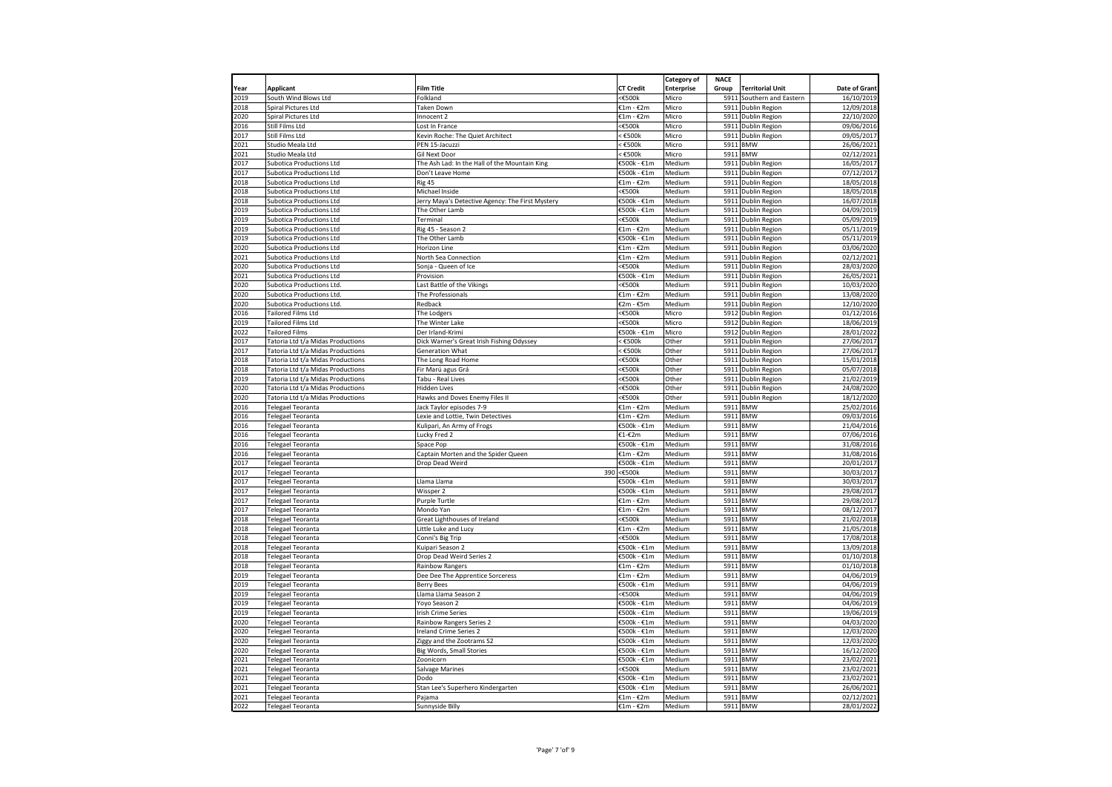|      |                                   |                                                  |                  | Category of       | <b>NACE</b> |                           |               |
|------|-----------------------------------|--------------------------------------------------|------------------|-------------------|-------------|---------------------------|---------------|
| Year | <b>Applicant</b>                  | <b>Film Title</b>                                | <b>CT Credit</b> | <b>Enterprise</b> | Group       | <b>Territorial Unit</b>   | Date of Grant |
| 2019 |                                   |                                                  | <€500k           |                   |             |                           |               |
|      | South Wind Blows Ltd              | Folkland                                         |                  | Micro             |             | 5911 Southern and Eastern | 16/10/2019    |
| 2018 | Spiral Pictures Ltd               | <b>Taken Down</b>                                | €1m - €2m        | Micro             |             | 5911 Dublin Region        | 12/09/2018    |
| 2020 | Spiral Pictures Ltd               | Innocent 2                                       | €1m - €2m        | Micro             |             | 5911 Dublin Region        | 22/10/2020    |
| 2016 | Still Films Ltd                   | Lost In France                                   | $<$ £500 $k$     | Micro             | 5911        | Dublin Region             | 09/06/2016    |
| 2017 | Still Films Ltd                   | Kevin Roche: The Quiet Architect                 | €500k            | Micro             |             | 5911 Dublin Region        | 09/05/2017    |
| 2021 | Studio Meala Ltd                  | PEN 15-Jacuzzi                                   | $<$ €500 $k$     | Micro             | 5911        | <b>BMW</b>                | 26/06/2021    |
| 2021 | Studio Meala Ltd                  | Gil Next Door                                    | $<$ €500 $k$     | Micro             | 5911        | <b>BMW</b>                | 02/12/2021    |
| 2017 | Subotica Productions Ltd          | The Ash Lad: In the Hall of the Mountain King    | €500k - €1m      | Medium            |             | 5911 Dublin Region        | 16/05/2017    |
| 2017 | <b>Subotica Productions Ltd</b>   | Don't Leave Home                                 | €500k - €1m      | Medium            |             | 5911 Dublin Region        | 07/12/2017    |
| 2018 | <b>Subotica Productions Ltd</b>   | Rig 45                                           | €1m - €2m        | Medium            | 5911        | Dublin Region             | 18/05/2018    |
| 2018 | Subotica Productions Ltd          | Michael Inside                                   | <€500k           | Medium            | 5911        | Dublin Region             | 18/05/2018    |
| 2018 | Subotica Productions Ltd          | Jerry Maya's Detective Agency: The First Mystery | €500k - €1m      | Medium            |             | 5911 Dublin Region        | 16/07/2018    |
| 2019 | <b>Subotica Productions Ltd</b>   | The Other Lamb                                   | €500k - €1m      | Medium            |             | 5911 Dublin Region        | 04/09/2019    |
| 2019 | <b>Subotica Productions Ltd</b>   | Terminal                                         | $<$ £500 $k$     | Medium            |             | 5911 Dublin Region        | 05/09/2019    |
| 2019 | Subotica Productions Ltd          | Rig 45 - Season 2                                | €1m - €2m        | Medium            |             | 5911 Dublin Region        | 05/11/2019    |
| 2019 | Subotica Productions Ltd          | The Other Lamb                                   | €500k - €1m      | Medium            |             | 5911 Dublin Region        | 05/11/2019    |
| 2020 |                                   |                                                  | €1m - €2m        | Medium            | 5911        |                           |               |
|      | <b>Subotica Productions Ltd</b>   | Horizon Line                                     |                  |                   |             | <b>Dublin Region</b>      | 03/06/2020    |
| 2021 | Subotica Productions Ltd          | North Sea Connection                             | €1m - €2m        | Medium            | 5911        | Dublin Region             | 02/12/2021    |
| 2020 | <b>Subotica Productions Ltd</b>   | Sonja - Queen of Ice                             | <€500k           | Medium            | 5911        | <b>Dublin Region</b>      | 28/03/2020    |
| 2021 | <b>Subotica Productions Ltd</b>   | Provision                                        | €500k - €1m      | Medium            | 5911        | Dublin Region             | 26/05/2021    |
| 2020 | Subotica Productions Ltd.         | Last Battle of the Vikings                       | <€500k           | Medium            | 5911        | Dublin Region             | 10/03/2020    |
| 2020 | Subotica Productions Ltd.         | The Professionals                                | €1m - €2m        | Medium            | 5911        | Dublin Region             | 13/08/2020    |
| 2020 | Subotica Productions Ltd.         | Redback                                          | €2m - €5m        | Medium            | 5911        | Dublin Region             | 12/10/2020    |
| 2016 | <b>Tailored Films Ltd</b>         | The Lodgers                                      | $<$ £500 $k$     | Micro             |             | 5912 Dublin Region        | 01/12/2016    |
| 2019 | Tailored Films Ltd                | The Winter Lake                                  | <€500k           | Micro             | 5912        | Dublin Region             | 18/06/2019    |
| 2022 | <b>Tailored Films</b>             | Der Irland-Krimi                                 | €500k - €1m      | Micro             | 5912        | Dublin Region             | 28/01/2022    |
| 2017 | Tatoria Ltd t/a Midas Productions | Dick Warner's Great Irish Fishing Odyssey        | $\epsilon$ £500k | Other             | 5911        | <b>Dublin Region</b>      | 27/06/2017    |
| 2017 | Tatoria Ltd t/a Midas Productions | Generation What                                  | $<$ €500 $k$     | Other             |             | 5911 Dublin Region        | 27/06/2017    |
| 2018 | Tatoria Ltd t/a Midas Productions | The Long Road Home                               | <€500k           | Other             |             | 5911 Dublin Region        | 15/01/2018    |
| 2018 | Tatoria Ltd t/a Midas Productions | Fir Marú agus Grá                                | <€500k           | Other             |             | 5911 Dublin Region        | 05/07/2018    |
| 2019 |                                   |                                                  |                  |                   | 5911        |                           |               |
| 2020 | Tatoria Ltd t/a Midas Productions | Tabu - Real Lives                                | <€500k           | Other             | 5911        | Dublin Region             | 21/02/2019    |
|      | Tatoria Ltd t/a Midas Productions | <b>Hidden Lives</b>                              | <€500k           | Other             |             | <b>Dublin Region</b>      | 24/08/2020    |
| 2020 | Tatoria Ltd t/a Midas Productions | Hawks and Doves Enemy Files II                   | <€500k           | Other             |             | 5911 Dublin Region        | 18/12/2020    |
| 2016 | <b>Telegael Teoranta</b>          | Jack Taylor episodes 7-9                         | €1m - €2m        | Medium            | 5911        | <b>BMW</b>                | 25/02/2016    |
| 2016 | Telegael Teoranta                 | Lexie and Lottie, Twin Detectives                | €1m - €2m        | Medium            |             | 5911 BMW                  | 09/03/2016    |
| 2016 | Telegael Teoranta                 | Kulipari, An Army of Frogs                       | €500k - €1m      | Medium            | 5911        | <b>BMW</b>                | 21/04/2016    |
| 2016 | Telegael Teoranta                 | Lucky Fred 2                                     | €1-€2m           | Medium            | 5911        | <b>BMW</b>                | 07/06/2016    |
| 2016 | Telegael Teoranta                 | Space Pop                                        | €500k - €1m      | Medium            | 5911        | <b>BMW</b>                | 31/08/2016    |
| 2016 | <b>Telegael Teoranta</b>          | Captain Morten and the Spider Queen              | €1m - €2m        | Medium            | 5911        | <b>BMW</b>                | 31/08/2016    |
| 2017 | Telegael Teoranta                 | Drop Dead Weird                                  | €500k - €1m      | Medium            | 5911        | <b>BMW</b>                | 20/01/2017    |
| 2017 | Telegael Teoranta                 | 390                                              | <€500k           | Medium            | 5911        | <b>BMW</b>                | 30/03/2017    |
| 2017 | Telegael Teoranta                 | Llama Llama                                      | €500k - €1m      | Medium            | 5911        | <b>BMW</b>                | 30/03/2017    |
| 2017 | Telegael Teoranta                 | Wissper 2                                        | €500k - €1m      | Medium            | 5911        | <b>BMW</b>                | 29/08/2017    |
| 2017 | Telegael Teoranta                 | Purple Turtle                                    | €1m - €2m        | Medium            | 5911        | <b>BMW</b>                | 29/08/2017    |
| 2017 | <b>Telegael Teoranta</b>          | Mondo Yan                                        | €1m - €2m        | Medium            | 5911        | <b>BMW</b>                | 08/12/2017    |
| 2018 |                                   | Great Lighthouses of Ireland                     | <€500k           | Medium            | 5911        | <b>BMW</b>                | 21/02/2018    |
| 2018 | <b>Telegael Teoranta</b>          |                                                  |                  | Medium            |             |                           |               |
|      | Telegael Teoranta                 | Little Luke and Lucy                             | €1m - €2m        |                   | 5911        | <b>BMW</b>                | 21/05/2018    |
| 2018 | Telegael Teoranta                 | Conni's Big Trip                                 | <€500k           | Medium            | 5911        | <b>BMW</b>                | 17/08/2018    |
| 2018 | Telegael Teoranta                 | Kuipari Season 2                                 | €500k - €1m      | Medium            | 5911        | <b>BMW</b>                | 13/09/2018    |
| 2018 | <b>Telegael Teoranta</b>          | Drop Dead Weird Series 2                         | €500k - €1m      | Medium            | 5911        | <b>BMW</b>                | 01/10/2018    |
| 2018 | Telegael Teoranta                 | Rainbow Rangers                                  | €1m - €2m        | Medium            | 5911        | <b>BMW</b>                | 01/10/2018    |
| 2019 | Telegael Teoranta                 | Dee Dee The Apprentice Sorceress                 | €1m - €2m        | Medium            | 5911        | <b>BMW</b>                | 04/06/2019    |
| 2019 | Telegael Teoranta                 | <b>Berry Bees</b>                                | €500k - €1m      | Medium            | 5911        | <b>BMW</b>                | 04/06/2019    |
| 2019 | Telegael Teoranta                 | Llama Llama Season 2                             | <€500k           | Medium            | 5911        | <b>BMW</b>                | 04/06/2019    |
| 2019 | Telegael Teoranta                 | Yoyo Season 2                                    | €500k - €1m      | Medium            | 5911        | <b>BMW</b>                | 04/06/2019    |
| 2019 | Telegael Teoranta                 | <b>Irish Crime Series</b>                        | €500k - €1m      | Medium            | 5911        | <b>BMW</b>                | 19/06/2019    |
| 2020 | Telegael Teoranta                 | Rainbow Rangers Series 2                         | €500k - €1m      | Medium            | 5911        | <b>BMW</b>                | 04/03/2020    |
| 2020 | Telegael Teoranta                 | Ireland Crime Series 2                           | €500k - €1m      | Medium            | 5911        | <b>BMW</b>                | 12/03/2020    |
| 2020 | Telegael Teoranta                 | Ziggy and the Zootrams S2                        | €500k - €1m      | Medium            | 5911        | <b>BMW</b>                | 12/03/2020    |
| 2020 |                                   |                                                  | €500k - €1m      | Medium            | 5911        | <b>BMW</b>                | 16/12/2020    |
| 2021 | Telegael Teoranta                 | Big Words, Small Stories                         | €500k - €1m      | Medium            | 5911        | <b>BMW</b>                |               |
| 2021 | <b>Telegael Teoranta</b>          | Zoonicorn                                        |                  |                   | 5911        |                           | 23/02/2021    |
|      | Telegael Teoranta                 | Salvage Marines                                  | <€500k           | Medium            |             | <b>BMW</b>                | 23/02/2021    |
| 2021 | Telegael Teoranta                 | Dodo                                             | €500k - €1m      | Medium            | 5911        | <b>BMW</b>                | 23/02/2021    |
| 2021 | Telegael Teoranta                 | Stan Lee's Superhero Kindergarten                | €500k - €1m      | Medium            | 5911        | <b>BMW</b>                | 26/06/2021    |
| 2021 | Telegael Teoranta                 | Pajama                                           | €1m - €2m        | Medium            | 5911        | <b>BMW</b>                | 02/12/2021    |
| 2022 | <b>Telegael Teoranta</b>          | Sunnyside Billy                                  | €1m - €2m        | Medium            | 5911        | <b>BMW</b>                | 28/01/2022    |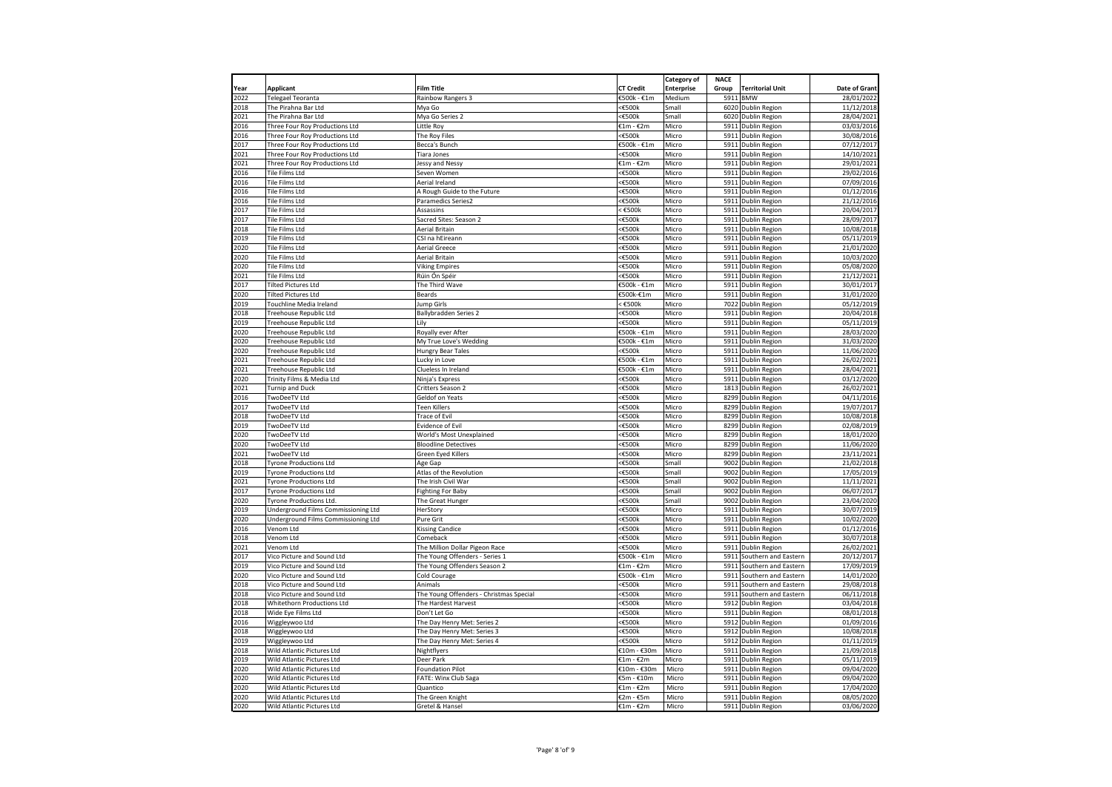| Category of<br><b>NACE</b><br><b>Applicant</b><br><b>Film Title</b><br><b>CT Credit</b><br><b>Territorial Unit</b><br><b>Enterprise</b><br>Group<br><b>BMW</b><br><b>Telegael Teoranta</b><br>€500k - €1m<br>5911<br>Rainbow Rangers 3<br>Medium<br>The Pirahna Bar Ltd<br><€500k<br>6020<br>Dublin Region<br>Mya Go<br>Smal<br>The Pirahna Bar Ltd<br>Mya Go Series 2<br><b>€500k</b><br>Small<br>6020 Dublin Region<br>Three Four Roy Productions Ltd<br>€1m - €2m<br>Micro<br>5911 Dublin Region<br>Little Roy<br>Three Four Roy Productions Ltd<br>The Roy Files<br>:€500k<br>Micro<br>5911<br>Dublin Region<br>Three Four Roy Productions Ltd<br>Becca's Bunch<br>€500k - €1m<br>5911<br>Dublin Region<br>Micro<br>Three Four Roy Productions Ltd<br><€500k<br>Micro<br>5911<br>Dublin Region<br>Tiara Jones<br>Three Four Roy Productions Ltd<br>€1m - €2m<br>Micro<br>5911<br>Dublin Region<br>Jessy and Nessy<br><b>Tile Films Ltd</b><br><b>€500k</b><br>Micro<br>5911<br><b>Dublin Region</b><br>Seven Women<br>Tile Films Ltd<br>Aerial Ireland<br>≤€500k<br>Micro<br>5911<br><b>Dublin Region</b><br>≤€500k<br>Tile Films Ltd<br>Micro<br>5911<br>Dublin Region<br>A Rough Guide to the Future<br><b>Tile Films Ltd</b><br><€500k<br>Micro<br>5911<br><b>Dublin Region</b><br>21/12/2016<br>Paramedics Series2<br>2017<br><b>Tile Films Ltd</b><br>$\epsilon$ £500 $k$<br>Micro<br>20/04/2017<br>Assassins<br>5911<br>Dublin Region<br>≤€500k<br>Micro<br>28/09/2017<br>Tile Films Ltd<br>Sacred Sites: Season 2<br>5911<br>Dublin Region<br><€500k<br>2018<br>Tile Films Ltd<br>Aerial Britain<br>Micro<br>5911<br>Dublin Region<br>10/08/2018<br>Tile Films Ltd<br><b>€500k</b><br>5911<br>05/11/2019<br>2019<br>CSI na hEireann<br>Micro<br><b>Dublin Region</b><br>Tile Films Ltd<br>21/01/2020<br>2020<br>Aerial Greece<br>Micro<br>5911<br>Dublin Region<br><b>€500k</b><br>Tile Films Ltd<br>Aerial Britain<br>Micro<br>5911 Dublin Region<br>10/03/2020<br><b>Tile Films Ltd</b><br><b>€500k</b><br>05/08/2020<br>2020<br><b>Viking Empires</b><br>Micro<br>5911 Dublin Region<br>Tile Films Ltd<br>≤€500k<br>Micro<br>21/12/2021<br>2021<br>Rúin Ón Spéir<br>5911<br>Dublin Region<br>2017<br><b>Tilted Pictures Ltd</b><br>€500k - €1m<br>Micro<br>5911<br>30/01/2017<br>The Third Wave<br>Dublin Region<br>2020<br>€500k-€1m<br>5911<br>31/01/2020<br><b>Tilted Pictures Ltd</b><br>Beards<br>Micro<br><b>Dublin Region</b><br>2019<br>$\epsilon$ £500 $k$<br>Micro<br>05/12/2019<br>Touchline Media Ireland<br>Jump Girls<br>7022<br>Dublin Region<br><€500k<br>Micro<br>5911 Dublin Region<br>20/04/2018<br>2018<br>Treehouse Republic Ltd<br>Ballybradden Series 2<br><€500k<br>2019<br>Treehouse Republic Ltd<br>Lily<br>Micro<br>5911 Dublin Region<br>05/11/2019<br>€500k - €1m<br>2020<br>Treehouse Republic Ltd<br>Royally ever After<br>Micro<br>5911<br>Dublin Region<br>28/03/2020<br>Micro<br>2020<br>Treehouse Republic Ltd<br>My True Love's Wedding<br>€500k - €1m<br>5911<br>31/03/2020<br>Dublin Region<br>2020<br>Treehouse Republic Ltd<br>Hungry Bear Tales<br>:€500k<br>Micro<br>591<br>Dublin Region<br>11/06/2020<br>€500k - €1m<br>2021<br>Treehouse Republic Ltd<br>Lucky in Love<br>Micro<br>5911<br>Dublin Region<br>26/02/2021<br>€500k - €1m<br>2021<br>Treehouse Republic Ltd<br>Clueless In Ireland<br>Micro<br>5911<br>Dublin Region<br>28/04/2021<br>2020<br>Trinity Films & Media Ltd<br>Ninja's Express<br>:€500k<br>Micro<br>5911<br>Dublin Region<br>03/12/2020<br>2021<br><b>€500k</b><br><b>Turnip and Duck</b><br>Critters Season 2<br>Micro<br>1813 Dublin Region<br>26/02/2021<br>2016<br>≤€500k<br>04/11/2016<br><b>TwoDeeTV Ltd</b><br>Geldof on Yeats<br>Micro<br>8299<br>Dublin Region<br>2017<br>≤€500k<br>TwoDeeTV Ltd<br><b>Teen Killers</b><br>Micro<br>8299<br>Dublin Region<br>19/07/2017<br>2018<br>TwoDeeTV Ltd<br>Trace of Evil<br><€500k<br>Micro<br>8299<br>Dublin Region<br>10/08/2018<br>2019<br><b>TwoDeeTV Ltd</b><br>Evidence of Evil<br><b>€500k</b><br>Micro<br>8299<br><b>Dublin Region</b><br>02/08/2019<br>2020<br>≤€500k<br>Micro<br>8299<br>18/01/2020<br>TwoDeeTV Ltd<br>World's Most Unexplained<br>Dublin Region<br>2020<br>TwoDeeTV Ltd<br><b>Bloodline Detectives</b><br><€500k<br>Micro<br>8299<br>Dublin Region<br>11/06/2020<br><b>TwoDeeTV Ltd</b><br>Green Eyed Killers<br><€500k<br>Micro<br>8299<br><b>Dublin Region</b><br>23/11/2021<br>≤€500k<br>21/02/2018<br><b>Tyrone Productions Ltd</b><br>Small<br>9002<br>Dublin Region<br>Age Gap<br><b>Tyrone Productions Ltd</b><br>Atlas of the Revolution<br>:€500k<br>Small<br>9002<br>Dublin Region<br>17/05/2019<br><b>Tyrone Productions Ltd</b><br>The Irish Civil War<br><b>€500k</b><br>Small<br>9002<br><b>Dublin Region</b><br>≤€500k<br><b>Tyrone Productions Ltd</b><br><b>Fighting For Baby</b><br>9002<br>Dublin Region<br>Small<br>:€500k<br>Tyrone Productions Ltd.<br>The Great Hunger<br>Small<br>9002<br>Dublin Region<br>Underground Films Commissioning Ltd<br><€500k<br>Micro<br>5911<br>Dublin Region<br>HerStory<br>Underground Films Commissioning Ltd<br>≤€500k<br>Micro<br>5911<br><b>Dublin Region</b><br>Pure Grit<br>$<$ £500 $k$<br>Micro<br>5911<br>Dublin Region<br>Venom Ltd<br><b>Kissing Candice</b><br><b>€500k</b><br>Micro<br>5911<br><b>Dublin Region</b><br>Venom Ltd<br>Comeback<br>Venom Ltd<br>The Million Dollar Pigeon Race<br><€500k<br>Micro<br>5911<br>Dublin Region<br>Vico Picture and Sound Ltd<br>€500k - €1m<br>Micro<br>5911<br>The Young Offenders - Series 1<br>Southern and Eastern<br>Vico Picture and Sound Ltd<br>The Young Offenders Season 2<br>€1m - €2m<br>Micro<br>5911<br>Southern and Eastern<br>Vico Picture and Sound Ltd<br>Cold Courage<br>€500k - €1m<br>Micro<br>591:<br>Southern and Eastern<br>≤€500k<br>Micro<br>Vico Picture and Sound Ltd<br>5911<br>Southern and Eastern<br>Animals<br>The Young Offenders - Christmas Special<br><€500k<br>Vico Picture and Sound Ltd<br>Micro<br>591<br>Southern and Eastern<br>Whitethorn Productions Ltd<br>The Hardest Harvest<br><b>€500k</b><br>5912<br>Micro<br>Dublin Region<br>Wide Eye Films Ltd<br>≤€500k<br>5911<br>Don't Let Go<br>Micro<br>Dublin Region<br><b>€500k</b><br>Wiggleywoo Ltd<br>The Day Henry Met: Series 2<br>Micro<br>591<br>Dublin Region<br><b>€500k</b><br>Wiggleywoo Ltd<br>The Day Henry Met: Series 3<br>Micro<br>5912<br>Dublin Region<br>$<$ £500 $k$<br>Micro<br>Wiggleywoo Ltd<br>The Day Henry Met: Series 4<br>5912<br>Dublin Region<br>Micro<br>5911<br>Wild Atlantic Pictures Ltd<br>Nightflyers<br>€10m - €30m<br>Dublin Region<br>Wild Atlantic Pictures Ltd<br>Deer Park<br>5911<br>€1m - €2m<br>Micro<br><b>Dublin Region</b><br>Wild Atlantic Pictures Ltd<br>Foundation Pilot<br>€10m - €30m<br>Micro<br>5911<br>Dublin Region<br>Wild Atlantic Pictures Ltd<br>€5m - €10m<br>Micro<br>5911<br>Dublin Region<br>FATE: Winx Club Saga<br>Wild Atlantic Pictures Ltd<br>€1m - €2m<br>Micro<br>5911<br>Dublin Region<br>Quantico<br>Wild Atlantic Pictures Ltd<br>The Green Knight<br>€2m - €5m<br>Micro<br>5911 Dublin Region<br>Wild Atlantic Pictures Ltd<br>Gretel & Hansel<br>€1m - €2m<br>Micro<br>5911 Dublin Region |      |  |  |  |               |
|---------------------------------------------------------------------------------------------------------------------------------------------------------------------------------------------------------------------------------------------------------------------------------------------------------------------------------------------------------------------------------------------------------------------------------------------------------------------------------------------------------------------------------------------------------------------------------------------------------------------------------------------------------------------------------------------------------------------------------------------------------------------------------------------------------------------------------------------------------------------------------------------------------------------------------------------------------------------------------------------------------------------------------------------------------------------------------------------------------------------------------------------------------------------------------------------------------------------------------------------------------------------------------------------------------------------------------------------------------------------------------------------------------------------------------------------------------------------------------------------------------------------------------------------------------------------------------------------------------------------------------------------------------------------------------------------------------------------------------------------------------------------------------------------------------------------------------------------------------------------------------------------------------------------------------------------------------------------------------------------------------------------------------------------------------------------------------------------------------------------------------------------------------------------------------------------------------------------------------------------------------------------------------------------------------------------------------------------------------------------------------------------------------------------------------------------------------------------------------------------------------------------------------------------------------------------------------------------------------------------------------------------------------------------------------------------------------------------------------------------------------------------------------------------------------------------------------------------------------------------------------------------------------------------------------------------------------------------------------------------------------------------------------------------------------------------------------------------------------------------------------------------------------------------------------------------------------------------------------------------------------------------------------------------------------------------------------------------------------------------------------------------------------------------------------------------------------------------------------------------------------------------------------------------------------------------------------------------------------------------------------------------------------------------------------------------------------------------------------------------------------------------------------------------------------------------------------------------------------------------------------------------------------------------------------------------------------------------------------------------------------------------------------------------------------------------------------------------------------------------------------------------------------------------------------------------------------------------------------------------------------------------------------------------------------------------------------------------------------------------------------------------------------------------------------------------------------------------------------------------------------------------------------------------------------------------------------------------------------------------------------------------------------------------------------------------------------------------------------------------------------------------------------------------------------------------------------------------------------------------------------------------------------------------------------------------------------------------------------------------------------------------------------------------------------------------------------------------------------------------------------------------------------------------------------------------------------------------------------------------------------------------------------------------------------------------------------------------------------------------------------------------------------------------------------------------------------------------------------------------------------------------------------------------------------------------------------------------------------------------------------------------------------------------------------------------------------------------------------------------------------------------------------------------------------------------------------------------------------------------------------------------------------------------------------------------------------------------------------------------------------------------------------------------------------------------------------------------------------------------------------------------------------------------------------------------------------------------------------------------------------------------------------------------------------------------------------------------------------------------------------------------------------------------------------------------------------------------------------------------------------------------------------------------------------------------------------------------------------------------------------------------------------------------------------------------------------------------------------------------------------------------------------------------------------------------------------------------------------------------------------------------------------------------------------------------------------------------------------------------------------------------------------------------------------------------------------------------------------------------------------------------------------------------------------------------------------------------------------------------------|------|--|--|--|---------------|
|                                                                                                                                                                                                                                                                                                                                                                                                                                                                                                                                                                                                                                                                                                                                                                                                                                                                                                                                                                                                                                                                                                                                                                                                                                                                                                                                                                                                                                                                                                                                                                                                                                                                                                                                                                                                                                                                                                                                                                                                                                                                                                                                                                                                                                                                                                                                                                                                                                                                                                                                                                                                                                                                                                                                                                                                                                                                                                                                                                                                                                                                                                                                                                                                                                                                                                                                                                                                                                                                                                                                                                                                                                                                                                                                                                                                                                                                                                                                                                                                                                                                                                                                                                                                                                                                                                                                                                                                                                                                                                                                                                                                                                                                                                                                                                                                                                                                                                                                                                                                                                                                                                                                                                                                                                                                                                                                                                                                                                                                                                                                                                                                                                                                                                                                                                                                                                                                                                                                                                                                                                                                                                                                                                                                                                                                                                                                                                                                                                                                                                                                                                                                                                                                                                                                                                                                                                                                                                                                                                                                                                                                                                                                                                                                                                                   | Year |  |  |  | Date of Grant |
|                                                                                                                                                                                                                                                                                                                                                                                                                                                                                                                                                                                                                                                                                                                                                                                                                                                                                                                                                                                                                                                                                                                                                                                                                                                                                                                                                                                                                                                                                                                                                                                                                                                                                                                                                                                                                                                                                                                                                                                                                                                                                                                                                                                                                                                                                                                                                                                                                                                                                                                                                                                                                                                                                                                                                                                                                                                                                                                                                                                                                                                                                                                                                                                                                                                                                                                                                                                                                                                                                                                                                                                                                                                                                                                                                                                                                                                                                                                                                                                                                                                                                                                                                                                                                                                                                                                                                                                                                                                                                                                                                                                                                                                                                                                                                                                                                                                                                                                                                                                                                                                                                                                                                                                                                                                                                                                                                                                                                                                                                                                                                                                                                                                                                                                                                                                                                                                                                                                                                                                                                                                                                                                                                                                                                                                                                                                                                                                                                                                                                                                                                                                                                                                                                                                                                                                                                                                                                                                                                                                                                                                                                                                                                                                                                                                   | 2022 |  |  |  | 28/01/2022    |
|                                                                                                                                                                                                                                                                                                                                                                                                                                                                                                                                                                                                                                                                                                                                                                                                                                                                                                                                                                                                                                                                                                                                                                                                                                                                                                                                                                                                                                                                                                                                                                                                                                                                                                                                                                                                                                                                                                                                                                                                                                                                                                                                                                                                                                                                                                                                                                                                                                                                                                                                                                                                                                                                                                                                                                                                                                                                                                                                                                                                                                                                                                                                                                                                                                                                                                                                                                                                                                                                                                                                                                                                                                                                                                                                                                                                                                                                                                                                                                                                                                                                                                                                                                                                                                                                                                                                                                                                                                                                                                                                                                                                                                                                                                                                                                                                                                                                                                                                                                                                                                                                                                                                                                                                                                                                                                                                                                                                                                                                                                                                                                                                                                                                                                                                                                                                                                                                                                                                                                                                                                                                                                                                                                                                                                                                                                                                                                                                                                                                                                                                                                                                                                                                                                                                                                                                                                                                                                                                                                                                                                                                                                                                                                                                                                                   | 2018 |  |  |  | 11/12/2018    |
|                                                                                                                                                                                                                                                                                                                                                                                                                                                                                                                                                                                                                                                                                                                                                                                                                                                                                                                                                                                                                                                                                                                                                                                                                                                                                                                                                                                                                                                                                                                                                                                                                                                                                                                                                                                                                                                                                                                                                                                                                                                                                                                                                                                                                                                                                                                                                                                                                                                                                                                                                                                                                                                                                                                                                                                                                                                                                                                                                                                                                                                                                                                                                                                                                                                                                                                                                                                                                                                                                                                                                                                                                                                                                                                                                                                                                                                                                                                                                                                                                                                                                                                                                                                                                                                                                                                                                                                                                                                                                                                                                                                                                                                                                                                                                                                                                                                                                                                                                                                                                                                                                                                                                                                                                                                                                                                                                                                                                                                                                                                                                                                                                                                                                                                                                                                                                                                                                                                                                                                                                                                                                                                                                                                                                                                                                                                                                                                                                                                                                                                                                                                                                                                                                                                                                                                                                                                                                                                                                                                                                                                                                                                                                                                                                                                   | 2021 |  |  |  | 28/04/2021    |
|                                                                                                                                                                                                                                                                                                                                                                                                                                                                                                                                                                                                                                                                                                                                                                                                                                                                                                                                                                                                                                                                                                                                                                                                                                                                                                                                                                                                                                                                                                                                                                                                                                                                                                                                                                                                                                                                                                                                                                                                                                                                                                                                                                                                                                                                                                                                                                                                                                                                                                                                                                                                                                                                                                                                                                                                                                                                                                                                                                                                                                                                                                                                                                                                                                                                                                                                                                                                                                                                                                                                                                                                                                                                                                                                                                                                                                                                                                                                                                                                                                                                                                                                                                                                                                                                                                                                                                                                                                                                                                                                                                                                                                                                                                                                                                                                                                                                                                                                                                                                                                                                                                                                                                                                                                                                                                                                                                                                                                                                                                                                                                                                                                                                                                                                                                                                                                                                                                                                                                                                                                                                                                                                                                                                                                                                                                                                                                                                                                                                                                                                                                                                                                                                                                                                                                                                                                                                                                                                                                                                                                                                                                                                                                                                                                                   | 2016 |  |  |  | 03/03/2016    |
|                                                                                                                                                                                                                                                                                                                                                                                                                                                                                                                                                                                                                                                                                                                                                                                                                                                                                                                                                                                                                                                                                                                                                                                                                                                                                                                                                                                                                                                                                                                                                                                                                                                                                                                                                                                                                                                                                                                                                                                                                                                                                                                                                                                                                                                                                                                                                                                                                                                                                                                                                                                                                                                                                                                                                                                                                                                                                                                                                                                                                                                                                                                                                                                                                                                                                                                                                                                                                                                                                                                                                                                                                                                                                                                                                                                                                                                                                                                                                                                                                                                                                                                                                                                                                                                                                                                                                                                                                                                                                                                                                                                                                                                                                                                                                                                                                                                                                                                                                                                                                                                                                                                                                                                                                                                                                                                                                                                                                                                                                                                                                                                                                                                                                                                                                                                                                                                                                                                                                                                                                                                                                                                                                                                                                                                                                                                                                                                                                                                                                                                                                                                                                                                                                                                                                                                                                                                                                                                                                                                                                                                                                                                                                                                                                                                   | 2016 |  |  |  | 30/08/2016    |
|                                                                                                                                                                                                                                                                                                                                                                                                                                                                                                                                                                                                                                                                                                                                                                                                                                                                                                                                                                                                                                                                                                                                                                                                                                                                                                                                                                                                                                                                                                                                                                                                                                                                                                                                                                                                                                                                                                                                                                                                                                                                                                                                                                                                                                                                                                                                                                                                                                                                                                                                                                                                                                                                                                                                                                                                                                                                                                                                                                                                                                                                                                                                                                                                                                                                                                                                                                                                                                                                                                                                                                                                                                                                                                                                                                                                                                                                                                                                                                                                                                                                                                                                                                                                                                                                                                                                                                                                                                                                                                                                                                                                                                                                                                                                                                                                                                                                                                                                                                                                                                                                                                                                                                                                                                                                                                                                                                                                                                                                                                                                                                                                                                                                                                                                                                                                                                                                                                                                                                                                                                                                                                                                                                                                                                                                                                                                                                                                                                                                                                                                                                                                                                                                                                                                                                                                                                                                                                                                                                                                                                                                                                                                                                                                                                                   | 2017 |  |  |  | 07/12/2017    |
|                                                                                                                                                                                                                                                                                                                                                                                                                                                                                                                                                                                                                                                                                                                                                                                                                                                                                                                                                                                                                                                                                                                                                                                                                                                                                                                                                                                                                                                                                                                                                                                                                                                                                                                                                                                                                                                                                                                                                                                                                                                                                                                                                                                                                                                                                                                                                                                                                                                                                                                                                                                                                                                                                                                                                                                                                                                                                                                                                                                                                                                                                                                                                                                                                                                                                                                                                                                                                                                                                                                                                                                                                                                                                                                                                                                                                                                                                                                                                                                                                                                                                                                                                                                                                                                                                                                                                                                                                                                                                                                                                                                                                                                                                                                                                                                                                                                                                                                                                                                                                                                                                                                                                                                                                                                                                                                                                                                                                                                                                                                                                                                                                                                                                                                                                                                                                                                                                                                                                                                                                                                                                                                                                                                                                                                                                                                                                                                                                                                                                                                                                                                                                                                                                                                                                                                                                                                                                                                                                                                                                                                                                                                                                                                                                                                   | 2021 |  |  |  | 14/10/2021    |
|                                                                                                                                                                                                                                                                                                                                                                                                                                                                                                                                                                                                                                                                                                                                                                                                                                                                                                                                                                                                                                                                                                                                                                                                                                                                                                                                                                                                                                                                                                                                                                                                                                                                                                                                                                                                                                                                                                                                                                                                                                                                                                                                                                                                                                                                                                                                                                                                                                                                                                                                                                                                                                                                                                                                                                                                                                                                                                                                                                                                                                                                                                                                                                                                                                                                                                                                                                                                                                                                                                                                                                                                                                                                                                                                                                                                                                                                                                                                                                                                                                                                                                                                                                                                                                                                                                                                                                                                                                                                                                                                                                                                                                                                                                                                                                                                                                                                                                                                                                                                                                                                                                                                                                                                                                                                                                                                                                                                                                                                                                                                                                                                                                                                                                                                                                                                                                                                                                                                                                                                                                                                                                                                                                                                                                                                                                                                                                                                                                                                                                                                                                                                                                                                                                                                                                                                                                                                                                                                                                                                                                                                                                                                                                                                                                                   | 2021 |  |  |  | 29/01/2021    |
|                                                                                                                                                                                                                                                                                                                                                                                                                                                                                                                                                                                                                                                                                                                                                                                                                                                                                                                                                                                                                                                                                                                                                                                                                                                                                                                                                                                                                                                                                                                                                                                                                                                                                                                                                                                                                                                                                                                                                                                                                                                                                                                                                                                                                                                                                                                                                                                                                                                                                                                                                                                                                                                                                                                                                                                                                                                                                                                                                                                                                                                                                                                                                                                                                                                                                                                                                                                                                                                                                                                                                                                                                                                                                                                                                                                                                                                                                                                                                                                                                                                                                                                                                                                                                                                                                                                                                                                                                                                                                                                                                                                                                                                                                                                                                                                                                                                                                                                                                                                                                                                                                                                                                                                                                                                                                                                                                                                                                                                                                                                                                                                                                                                                                                                                                                                                                                                                                                                                                                                                                                                                                                                                                                                                                                                                                                                                                                                                                                                                                                                                                                                                                                                                                                                                                                                                                                                                                                                                                                                                                                                                                                                                                                                                                                                   | 2016 |  |  |  | 29/02/2016    |
|                                                                                                                                                                                                                                                                                                                                                                                                                                                                                                                                                                                                                                                                                                                                                                                                                                                                                                                                                                                                                                                                                                                                                                                                                                                                                                                                                                                                                                                                                                                                                                                                                                                                                                                                                                                                                                                                                                                                                                                                                                                                                                                                                                                                                                                                                                                                                                                                                                                                                                                                                                                                                                                                                                                                                                                                                                                                                                                                                                                                                                                                                                                                                                                                                                                                                                                                                                                                                                                                                                                                                                                                                                                                                                                                                                                                                                                                                                                                                                                                                                                                                                                                                                                                                                                                                                                                                                                                                                                                                                                                                                                                                                                                                                                                                                                                                                                                                                                                                                                                                                                                                                                                                                                                                                                                                                                                                                                                                                                                                                                                                                                                                                                                                                                                                                                                                                                                                                                                                                                                                                                                                                                                                                                                                                                                                                                                                                                                                                                                                                                                                                                                                                                                                                                                                                                                                                                                                                                                                                                                                                                                                                                                                                                                                                                   | 2016 |  |  |  | 07/09/2016    |
|                                                                                                                                                                                                                                                                                                                                                                                                                                                                                                                                                                                                                                                                                                                                                                                                                                                                                                                                                                                                                                                                                                                                                                                                                                                                                                                                                                                                                                                                                                                                                                                                                                                                                                                                                                                                                                                                                                                                                                                                                                                                                                                                                                                                                                                                                                                                                                                                                                                                                                                                                                                                                                                                                                                                                                                                                                                                                                                                                                                                                                                                                                                                                                                                                                                                                                                                                                                                                                                                                                                                                                                                                                                                                                                                                                                                                                                                                                                                                                                                                                                                                                                                                                                                                                                                                                                                                                                                                                                                                                                                                                                                                                                                                                                                                                                                                                                                                                                                                                                                                                                                                                                                                                                                                                                                                                                                                                                                                                                                                                                                                                                                                                                                                                                                                                                                                                                                                                                                                                                                                                                                                                                                                                                                                                                                                                                                                                                                                                                                                                                                                                                                                                                                                                                                                                                                                                                                                                                                                                                                                                                                                                                                                                                                                                                   | 2016 |  |  |  | 01/12/2016    |
|                                                                                                                                                                                                                                                                                                                                                                                                                                                                                                                                                                                                                                                                                                                                                                                                                                                                                                                                                                                                                                                                                                                                                                                                                                                                                                                                                                                                                                                                                                                                                                                                                                                                                                                                                                                                                                                                                                                                                                                                                                                                                                                                                                                                                                                                                                                                                                                                                                                                                                                                                                                                                                                                                                                                                                                                                                                                                                                                                                                                                                                                                                                                                                                                                                                                                                                                                                                                                                                                                                                                                                                                                                                                                                                                                                                                                                                                                                                                                                                                                                                                                                                                                                                                                                                                                                                                                                                                                                                                                                                                                                                                                                                                                                                                                                                                                                                                                                                                                                                                                                                                                                                                                                                                                                                                                                                                                                                                                                                                                                                                                                                                                                                                                                                                                                                                                                                                                                                                                                                                                                                                                                                                                                                                                                                                                                                                                                                                                                                                                                                                                                                                                                                                                                                                                                                                                                                                                                                                                                                                                                                                                                                                                                                                                                                   | 2016 |  |  |  |               |
|                                                                                                                                                                                                                                                                                                                                                                                                                                                                                                                                                                                                                                                                                                                                                                                                                                                                                                                                                                                                                                                                                                                                                                                                                                                                                                                                                                                                                                                                                                                                                                                                                                                                                                                                                                                                                                                                                                                                                                                                                                                                                                                                                                                                                                                                                                                                                                                                                                                                                                                                                                                                                                                                                                                                                                                                                                                                                                                                                                                                                                                                                                                                                                                                                                                                                                                                                                                                                                                                                                                                                                                                                                                                                                                                                                                                                                                                                                                                                                                                                                                                                                                                                                                                                                                                                                                                                                                                                                                                                                                                                                                                                                                                                                                                                                                                                                                                                                                                                                                                                                                                                                                                                                                                                                                                                                                                                                                                                                                                                                                                                                                                                                                                                                                                                                                                                                                                                                                                                                                                                                                                                                                                                                                                                                                                                                                                                                                                                                                                                                                                                                                                                                                                                                                                                                                                                                                                                                                                                                                                                                                                                                                                                                                                                                                   |      |  |  |  |               |
|                                                                                                                                                                                                                                                                                                                                                                                                                                                                                                                                                                                                                                                                                                                                                                                                                                                                                                                                                                                                                                                                                                                                                                                                                                                                                                                                                                                                                                                                                                                                                                                                                                                                                                                                                                                                                                                                                                                                                                                                                                                                                                                                                                                                                                                                                                                                                                                                                                                                                                                                                                                                                                                                                                                                                                                                                                                                                                                                                                                                                                                                                                                                                                                                                                                                                                                                                                                                                                                                                                                                                                                                                                                                                                                                                                                                                                                                                                                                                                                                                                                                                                                                                                                                                                                                                                                                                                                                                                                                                                                                                                                                                                                                                                                                                                                                                                                                                                                                                                                                                                                                                                                                                                                                                                                                                                                                                                                                                                                                                                                                                                                                                                                                                                                                                                                                                                                                                                                                                                                                                                                                                                                                                                                                                                                                                                                                                                                                                                                                                                                                                                                                                                                                                                                                                                                                                                                                                                                                                                                                                                                                                                                                                                                                                                                   | 2017 |  |  |  |               |
|                                                                                                                                                                                                                                                                                                                                                                                                                                                                                                                                                                                                                                                                                                                                                                                                                                                                                                                                                                                                                                                                                                                                                                                                                                                                                                                                                                                                                                                                                                                                                                                                                                                                                                                                                                                                                                                                                                                                                                                                                                                                                                                                                                                                                                                                                                                                                                                                                                                                                                                                                                                                                                                                                                                                                                                                                                                                                                                                                                                                                                                                                                                                                                                                                                                                                                                                                                                                                                                                                                                                                                                                                                                                                                                                                                                                                                                                                                                                                                                                                                                                                                                                                                                                                                                                                                                                                                                                                                                                                                                                                                                                                                                                                                                                                                                                                                                                                                                                                                                                                                                                                                                                                                                                                                                                                                                                                                                                                                                                                                                                                                                                                                                                                                                                                                                                                                                                                                                                                                                                                                                                                                                                                                                                                                                                                                                                                                                                                                                                                                                                                                                                                                                                                                                                                                                                                                                                                                                                                                                                                                                                                                                                                                                                                                                   |      |  |  |  |               |
|                                                                                                                                                                                                                                                                                                                                                                                                                                                                                                                                                                                                                                                                                                                                                                                                                                                                                                                                                                                                                                                                                                                                                                                                                                                                                                                                                                                                                                                                                                                                                                                                                                                                                                                                                                                                                                                                                                                                                                                                                                                                                                                                                                                                                                                                                                                                                                                                                                                                                                                                                                                                                                                                                                                                                                                                                                                                                                                                                                                                                                                                                                                                                                                                                                                                                                                                                                                                                                                                                                                                                                                                                                                                                                                                                                                                                                                                                                                                                                                                                                                                                                                                                                                                                                                                                                                                                                                                                                                                                                                                                                                                                                                                                                                                                                                                                                                                                                                                                                                                                                                                                                                                                                                                                                                                                                                                                                                                                                                                                                                                                                                                                                                                                                                                                                                                                                                                                                                                                                                                                                                                                                                                                                                                                                                                                                                                                                                                                                                                                                                                                                                                                                                                                                                                                                                                                                                                                                                                                                                                                                                                                                                                                                                                                                                   |      |  |  |  |               |
|                                                                                                                                                                                                                                                                                                                                                                                                                                                                                                                                                                                                                                                                                                                                                                                                                                                                                                                                                                                                                                                                                                                                                                                                                                                                                                                                                                                                                                                                                                                                                                                                                                                                                                                                                                                                                                                                                                                                                                                                                                                                                                                                                                                                                                                                                                                                                                                                                                                                                                                                                                                                                                                                                                                                                                                                                                                                                                                                                                                                                                                                                                                                                                                                                                                                                                                                                                                                                                                                                                                                                                                                                                                                                                                                                                                                                                                                                                                                                                                                                                                                                                                                                                                                                                                                                                                                                                                                                                                                                                                                                                                                                                                                                                                                                                                                                                                                                                                                                                                                                                                                                                                                                                                                                                                                                                                                                                                                                                                                                                                                                                                                                                                                                                                                                                                                                                                                                                                                                                                                                                                                                                                                                                                                                                                                                                                                                                                                                                                                                                                                                                                                                                                                                                                                                                                                                                                                                                                                                                                                                                                                                                                                                                                                                                                   |      |  |  |  |               |
|                                                                                                                                                                                                                                                                                                                                                                                                                                                                                                                                                                                                                                                                                                                                                                                                                                                                                                                                                                                                                                                                                                                                                                                                                                                                                                                                                                                                                                                                                                                                                                                                                                                                                                                                                                                                                                                                                                                                                                                                                                                                                                                                                                                                                                                                                                                                                                                                                                                                                                                                                                                                                                                                                                                                                                                                                                                                                                                                                                                                                                                                                                                                                                                                                                                                                                                                                                                                                                                                                                                                                                                                                                                                                                                                                                                                                                                                                                                                                                                                                                                                                                                                                                                                                                                                                                                                                                                                                                                                                                                                                                                                                                                                                                                                                                                                                                                                                                                                                                                                                                                                                                                                                                                                                                                                                                                                                                                                                                                                                                                                                                                                                                                                                                                                                                                                                                                                                                                                                                                                                                                                                                                                                                                                                                                                                                                                                                                                                                                                                                                                                                                                                                                                                                                                                                                                                                                                                                                                                                                                                                                                                                                                                                                                                                                   | 2020 |  |  |  |               |
|                                                                                                                                                                                                                                                                                                                                                                                                                                                                                                                                                                                                                                                                                                                                                                                                                                                                                                                                                                                                                                                                                                                                                                                                                                                                                                                                                                                                                                                                                                                                                                                                                                                                                                                                                                                                                                                                                                                                                                                                                                                                                                                                                                                                                                                                                                                                                                                                                                                                                                                                                                                                                                                                                                                                                                                                                                                                                                                                                                                                                                                                                                                                                                                                                                                                                                                                                                                                                                                                                                                                                                                                                                                                                                                                                                                                                                                                                                                                                                                                                                                                                                                                                                                                                                                                                                                                                                                                                                                                                                                                                                                                                                                                                                                                                                                                                                                                                                                                                                                                                                                                                                                                                                                                                                                                                                                                                                                                                                                                                                                                                                                                                                                                                                                                                                                                                                                                                                                                                                                                                                                                                                                                                                                                                                                                                                                                                                                                                                                                                                                                                                                                                                                                                                                                                                                                                                                                                                                                                                                                                                                                                                                                                                                                                                                   |      |  |  |  |               |
|                                                                                                                                                                                                                                                                                                                                                                                                                                                                                                                                                                                                                                                                                                                                                                                                                                                                                                                                                                                                                                                                                                                                                                                                                                                                                                                                                                                                                                                                                                                                                                                                                                                                                                                                                                                                                                                                                                                                                                                                                                                                                                                                                                                                                                                                                                                                                                                                                                                                                                                                                                                                                                                                                                                                                                                                                                                                                                                                                                                                                                                                                                                                                                                                                                                                                                                                                                                                                                                                                                                                                                                                                                                                                                                                                                                                                                                                                                                                                                                                                                                                                                                                                                                                                                                                                                                                                                                                                                                                                                                                                                                                                                                                                                                                                                                                                                                                                                                                                                                                                                                                                                                                                                                                                                                                                                                                                                                                                                                                                                                                                                                                                                                                                                                                                                                                                                                                                                                                                                                                                                                                                                                                                                                                                                                                                                                                                                                                                                                                                                                                                                                                                                                                                                                                                                                                                                                                                                                                                                                                                                                                                                                                                                                                                                                   |      |  |  |  |               |
|                                                                                                                                                                                                                                                                                                                                                                                                                                                                                                                                                                                                                                                                                                                                                                                                                                                                                                                                                                                                                                                                                                                                                                                                                                                                                                                                                                                                                                                                                                                                                                                                                                                                                                                                                                                                                                                                                                                                                                                                                                                                                                                                                                                                                                                                                                                                                                                                                                                                                                                                                                                                                                                                                                                                                                                                                                                                                                                                                                                                                                                                                                                                                                                                                                                                                                                                                                                                                                                                                                                                                                                                                                                                                                                                                                                                                                                                                                                                                                                                                                                                                                                                                                                                                                                                                                                                                                                                                                                                                                                                                                                                                                                                                                                                                                                                                                                                                                                                                                                                                                                                                                                                                                                                                                                                                                                                                                                                                                                                                                                                                                                                                                                                                                                                                                                                                                                                                                                                                                                                                                                                                                                                                                                                                                                                                                                                                                                                                                                                                                                                                                                                                                                                                                                                                                                                                                                                                                                                                                                                                                                                                                                                                                                                                                                   |      |  |  |  |               |
|                                                                                                                                                                                                                                                                                                                                                                                                                                                                                                                                                                                                                                                                                                                                                                                                                                                                                                                                                                                                                                                                                                                                                                                                                                                                                                                                                                                                                                                                                                                                                                                                                                                                                                                                                                                                                                                                                                                                                                                                                                                                                                                                                                                                                                                                                                                                                                                                                                                                                                                                                                                                                                                                                                                                                                                                                                                                                                                                                                                                                                                                                                                                                                                                                                                                                                                                                                                                                                                                                                                                                                                                                                                                                                                                                                                                                                                                                                                                                                                                                                                                                                                                                                                                                                                                                                                                                                                                                                                                                                                                                                                                                                                                                                                                                                                                                                                                                                                                                                                                                                                                                                                                                                                                                                                                                                                                                                                                                                                                                                                                                                                                                                                                                                                                                                                                                                                                                                                                                                                                                                                                                                                                                                                                                                                                                                                                                                                                                                                                                                                                                                                                                                                                                                                                                                                                                                                                                                                                                                                                                                                                                                                                                                                                                                                   |      |  |  |  |               |
|                                                                                                                                                                                                                                                                                                                                                                                                                                                                                                                                                                                                                                                                                                                                                                                                                                                                                                                                                                                                                                                                                                                                                                                                                                                                                                                                                                                                                                                                                                                                                                                                                                                                                                                                                                                                                                                                                                                                                                                                                                                                                                                                                                                                                                                                                                                                                                                                                                                                                                                                                                                                                                                                                                                                                                                                                                                                                                                                                                                                                                                                                                                                                                                                                                                                                                                                                                                                                                                                                                                                                                                                                                                                                                                                                                                                                                                                                                                                                                                                                                                                                                                                                                                                                                                                                                                                                                                                                                                                                                                                                                                                                                                                                                                                                                                                                                                                                                                                                                                                                                                                                                                                                                                                                                                                                                                                                                                                                                                                                                                                                                                                                                                                                                                                                                                                                                                                                                                                                                                                                                                                                                                                                                                                                                                                                                                                                                                                                                                                                                                                                                                                                                                                                                                                                                                                                                                                                                                                                                                                                                                                                                                                                                                                                                                   |      |  |  |  |               |
|                                                                                                                                                                                                                                                                                                                                                                                                                                                                                                                                                                                                                                                                                                                                                                                                                                                                                                                                                                                                                                                                                                                                                                                                                                                                                                                                                                                                                                                                                                                                                                                                                                                                                                                                                                                                                                                                                                                                                                                                                                                                                                                                                                                                                                                                                                                                                                                                                                                                                                                                                                                                                                                                                                                                                                                                                                                                                                                                                                                                                                                                                                                                                                                                                                                                                                                                                                                                                                                                                                                                                                                                                                                                                                                                                                                                                                                                                                                                                                                                                                                                                                                                                                                                                                                                                                                                                                                                                                                                                                                                                                                                                                                                                                                                                                                                                                                                                                                                                                                                                                                                                                                                                                                                                                                                                                                                                                                                                                                                                                                                                                                                                                                                                                                                                                                                                                                                                                                                                                                                                                                                                                                                                                                                                                                                                                                                                                                                                                                                                                                                                                                                                                                                                                                                                                                                                                                                                                                                                                                                                                                                                                                                                                                                                                                   |      |  |  |  |               |
|                                                                                                                                                                                                                                                                                                                                                                                                                                                                                                                                                                                                                                                                                                                                                                                                                                                                                                                                                                                                                                                                                                                                                                                                                                                                                                                                                                                                                                                                                                                                                                                                                                                                                                                                                                                                                                                                                                                                                                                                                                                                                                                                                                                                                                                                                                                                                                                                                                                                                                                                                                                                                                                                                                                                                                                                                                                                                                                                                                                                                                                                                                                                                                                                                                                                                                                                                                                                                                                                                                                                                                                                                                                                                                                                                                                                                                                                                                                                                                                                                                                                                                                                                                                                                                                                                                                                                                                                                                                                                                                                                                                                                                                                                                                                                                                                                                                                                                                                                                                                                                                                                                                                                                                                                                                                                                                                                                                                                                                                                                                                                                                                                                                                                                                                                                                                                                                                                                                                                                                                                                                                                                                                                                                                                                                                                                                                                                                                                                                                                                                                                                                                                                                                                                                                                                                                                                                                                                                                                                                                                                                                                                                                                                                                                                                   |      |  |  |  |               |
|                                                                                                                                                                                                                                                                                                                                                                                                                                                                                                                                                                                                                                                                                                                                                                                                                                                                                                                                                                                                                                                                                                                                                                                                                                                                                                                                                                                                                                                                                                                                                                                                                                                                                                                                                                                                                                                                                                                                                                                                                                                                                                                                                                                                                                                                                                                                                                                                                                                                                                                                                                                                                                                                                                                                                                                                                                                                                                                                                                                                                                                                                                                                                                                                                                                                                                                                                                                                                                                                                                                                                                                                                                                                                                                                                                                                                                                                                                                                                                                                                                                                                                                                                                                                                                                                                                                                                                                                                                                                                                                                                                                                                                                                                                                                                                                                                                                                                                                                                                                                                                                                                                                                                                                                                                                                                                                                                                                                                                                                                                                                                                                                                                                                                                                                                                                                                                                                                                                                                                                                                                                                                                                                                                                                                                                                                                                                                                                                                                                                                                                                                                                                                                                                                                                                                                                                                                                                                                                                                                                                                                                                                                                                                                                                                                                   |      |  |  |  |               |
|                                                                                                                                                                                                                                                                                                                                                                                                                                                                                                                                                                                                                                                                                                                                                                                                                                                                                                                                                                                                                                                                                                                                                                                                                                                                                                                                                                                                                                                                                                                                                                                                                                                                                                                                                                                                                                                                                                                                                                                                                                                                                                                                                                                                                                                                                                                                                                                                                                                                                                                                                                                                                                                                                                                                                                                                                                                                                                                                                                                                                                                                                                                                                                                                                                                                                                                                                                                                                                                                                                                                                                                                                                                                                                                                                                                                                                                                                                                                                                                                                                                                                                                                                                                                                                                                                                                                                                                                                                                                                                                                                                                                                                                                                                                                                                                                                                                                                                                                                                                                                                                                                                                                                                                                                                                                                                                                                                                                                                                                                                                                                                                                                                                                                                                                                                                                                                                                                                                                                                                                                                                                                                                                                                                                                                                                                                                                                                                                                                                                                                                                                                                                                                                                                                                                                                                                                                                                                                                                                                                                                                                                                                                                                                                                                                                   |      |  |  |  |               |
|                                                                                                                                                                                                                                                                                                                                                                                                                                                                                                                                                                                                                                                                                                                                                                                                                                                                                                                                                                                                                                                                                                                                                                                                                                                                                                                                                                                                                                                                                                                                                                                                                                                                                                                                                                                                                                                                                                                                                                                                                                                                                                                                                                                                                                                                                                                                                                                                                                                                                                                                                                                                                                                                                                                                                                                                                                                                                                                                                                                                                                                                                                                                                                                                                                                                                                                                                                                                                                                                                                                                                                                                                                                                                                                                                                                                                                                                                                                                                                                                                                                                                                                                                                                                                                                                                                                                                                                                                                                                                                                                                                                                                                                                                                                                                                                                                                                                                                                                                                                                                                                                                                                                                                                                                                                                                                                                                                                                                                                                                                                                                                                                                                                                                                                                                                                                                                                                                                                                                                                                                                                                                                                                                                                                                                                                                                                                                                                                                                                                                                                                                                                                                                                                                                                                                                                                                                                                                                                                                                                                                                                                                                                                                                                                                                                   |      |  |  |  |               |
|                                                                                                                                                                                                                                                                                                                                                                                                                                                                                                                                                                                                                                                                                                                                                                                                                                                                                                                                                                                                                                                                                                                                                                                                                                                                                                                                                                                                                                                                                                                                                                                                                                                                                                                                                                                                                                                                                                                                                                                                                                                                                                                                                                                                                                                                                                                                                                                                                                                                                                                                                                                                                                                                                                                                                                                                                                                                                                                                                                                                                                                                                                                                                                                                                                                                                                                                                                                                                                                                                                                                                                                                                                                                                                                                                                                                                                                                                                                                                                                                                                                                                                                                                                                                                                                                                                                                                                                                                                                                                                                                                                                                                                                                                                                                                                                                                                                                                                                                                                                                                                                                                                                                                                                                                                                                                                                                                                                                                                                                                                                                                                                                                                                                                                                                                                                                                                                                                                                                                                                                                                                                                                                                                                                                                                                                                                                                                                                                                                                                                                                                                                                                                                                                                                                                                                                                                                                                                                                                                                                                                                                                                                                                                                                                                                                   |      |  |  |  |               |
|                                                                                                                                                                                                                                                                                                                                                                                                                                                                                                                                                                                                                                                                                                                                                                                                                                                                                                                                                                                                                                                                                                                                                                                                                                                                                                                                                                                                                                                                                                                                                                                                                                                                                                                                                                                                                                                                                                                                                                                                                                                                                                                                                                                                                                                                                                                                                                                                                                                                                                                                                                                                                                                                                                                                                                                                                                                                                                                                                                                                                                                                                                                                                                                                                                                                                                                                                                                                                                                                                                                                                                                                                                                                                                                                                                                                                                                                                                                                                                                                                                                                                                                                                                                                                                                                                                                                                                                                                                                                                                                                                                                                                                                                                                                                                                                                                                                                                                                                                                                                                                                                                                                                                                                                                                                                                                                                                                                                                                                                                                                                                                                                                                                                                                                                                                                                                                                                                                                                                                                                                                                                                                                                                                                                                                                                                                                                                                                                                                                                                                                                                                                                                                                                                                                                                                                                                                                                                                                                                                                                                                                                                                                                                                                                                                                   |      |  |  |  |               |
|                                                                                                                                                                                                                                                                                                                                                                                                                                                                                                                                                                                                                                                                                                                                                                                                                                                                                                                                                                                                                                                                                                                                                                                                                                                                                                                                                                                                                                                                                                                                                                                                                                                                                                                                                                                                                                                                                                                                                                                                                                                                                                                                                                                                                                                                                                                                                                                                                                                                                                                                                                                                                                                                                                                                                                                                                                                                                                                                                                                                                                                                                                                                                                                                                                                                                                                                                                                                                                                                                                                                                                                                                                                                                                                                                                                                                                                                                                                                                                                                                                                                                                                                                                                                                                                                                                                                                                                                                                                                                                                                                                                                                                                                                                                                                                                                                                                                                                                                                                                                                                                                                                                                                                                                                                                                                                                                                                                                                                                                                                                                                                                                                                                                                                                                                                                                                                                                                                                                                                                                                                                                                                                                                                                                                                                                                                                                                                                                                                                                                                                                                                                                                                                                                                                                                                                                                                                                                                                                                                                                                                                                                                                                                                                                                                                   |      |  |  |  |               |
|                                                                                                                                                                                                                                                                                                                                                                                                                                                                                                                                                                                                                                                                                                                                                                                                                                                                                                                                                                                                                                                                                                                                                                                                                                                                                                                                                                                                                                                                                                                                                                                                                                                                                                                                                                                                                                                                                                                                                                                                                                                                                                                                                                                                                                                                                                                                                                                                                                                                                                                                                                                                                                                                                                                                                                                                                                                                                                                                                                                                                                                                                                                                                                                                                                                                                                                                                                                                                                                                                                                                                                                                                                                                                                                                                                                                                                                                                                                                                                                                                                                                                                                                                                                                                                                                                                                                                                                                                                                                                                                                                                                                                                                                                                                                                                                                                                                                                                                                                                                                                                                                                                                                                                                                                                                                                                                                                                                                                                                                                                                                                                                                                                                                                                                                                                                                                                                                                                                                                                                                                                                                                                                                                                                                                                                                                                                                                                                                                                                                                                                                                                                                                                                                                                                                                                                                                                                                                                                                                                                                                                                                                                                                                                                                                                                   |      |  |  |  |               |
|                                                                                                                                                                                                                                                                                                                                                                                                                                                                                                                                                                                                                                                                                                                                                                                                                                                                                                                                                                                                                                                                                                                                                                                                                                                                                                                                                                                                                                                                                                                                                                                                                                                                                                                                                                                                                                                                                                                                                                                                                                                                                                                                                                                                                                                                                                                                                                                                                                                                                                                                                                                                                                                                                                                                                                                                                                                                                                                                                                                                                                                                                                                                                                                                                                                                                                                                                                                                                                                                                                                                                                                                                                                                                                                                                                                                                                                                                                                                                                                                                                                                                                                                                                                                                                                                                                                                                                                                                                                                                                                                                                                                                                                                                                                                                                                                                                                                                                                                                                                                                                                                                                                                                                                                                                                                                                                                                                                                                                                                                                                                                                                                                                                                                                                                                                                                                                                                                                                                                                                                                                                                                                                                                                                                                                                                                                                                                                                                                                                                                                                                                                                                                                                                                                                                                                                                                                                                                                                                                                                                                                                                                                                                                                                                                                                   |      |  |  |  |               |
|                                                                                                                                                                                                                                                                                                                                                                                                                                                                                                                                                                                                                                                                                                                                                                                                                                                                                                                                                                                                                                                                                                                                                                                                                                                                                                                                                                                                                                                                                                                                                                                                                                                                                                                                                                                                                                                                                                                                                                                                                                                                                                                                                                                                                                                                                                                                                                                                                                                                                                                                                                                                                                                                                                                                                                                                                                                                                                                                                                                                                                                                                                                                                                                                                                                                                                                                                                                                                                                                                                                                                                                                                                                                                                                                                                                                                                                                                                                                                                                                                                                                                                                                                                                                                                                                                                                                                                                                                                                                                                                                                                                                                                                                                                                                                                                                                                                                                                                                                                                                                                                                                                                                                                                                                                                                                                                                                                                                                                                                                                                                                                                                                                                                                                                                                                                                                                                                                                                                                                                                                                                                                                                                                                                                                                                                                                                                                                                                                                                                                                                                                                                                                                                                                                                                                                                                                                                                                                                                                                                                                                                                                                                                                                                                                                                   |      |  |  |  |               |
|                                                                                                                                                                                                                                                                                                                                                                                                                                                                                                                                                                                                                                                                                                                                                                                                                                                                                                                                                                                                                                                                                                                                                                                                                                                                                                                                                                                                                                                                                                                                                                                                                                                                                                                                                                                                                                                                                                                                                                                                                                                                                                                                                                                                                                                                                                                                                                                                                                                                                                                                                                                                                                                                                                                                                                                                                                                                                                                                                                                                                                                                                                                                                                                                                                                                                                                                                                                                                                                                                                                                                                                                                                                                                                                                                                                                                                                                                                                                                                                                                                                                                                                                                                                                                                                                                                                                                                                                                                                                                                                                                                                                                                                                                                                                                                                                                                                                                                                                                                                                                                                                                                                                                                                                                                                                                                                                                                                                                                                                                                                                                                                                                                                                                                                                                                                                                                                                                                                                                                                                                                                                                                                                                                                                                                                                                                                                                                                                                                                                                                                                                                                                                                                                                                                                                                                                                                                                                                                                                                                                                                                                                                                                                                                                                                                   |      |  |  |  |               |
|                                                                                                                                                                                                                                                                                                                                                                                                                                                                                                                                                                                                                                                                                                                                                                                                                                                                                                                                                                                                                                                                                                                                                                                                                                                                                                                                                                                                                                                                                                                                                                                                                                                                                                                                                                                                                                                                                                                                                                                                                                                                                                                                                                                                                                                                                                                                                                                                                                                                                                                                                                                                                                                                                                                                                                                                                                                                                                                                                                                                                                                                                                                                                                                                                                                                                                                                                                                                                                                                                                                                                                                                                                                                                                                                                                                                                                                                                                                                                                                                                                                                                                                                                                                                                                                                                                                                                                                                                                                                                                                                                                                                                                                                                                                                                                                                                                                                                                                                                                                                                                                                                                                                                                                                                                                                                                                                                                                                                                                                                                                                                                                                                                                                                                                                                                                                                                                                                                                                                                                                                                                                                                                                                                                                                                                                                                                                                                                                                                                                                                                                                                                                                                                                                                                                                                                                                                                                                                                                                                                                                                                                                                                                                                                                                                                   |      |  |  |  |               |
|                                                                                                                                                                                                                                                                                                                                                                                                                                                                                                                                                                                                                                                                                                                                                                                                                                                                                                                                                                                                                                                                                                                                                                                                                                                                                                                                                                                                                                                                                                                                                                                                                                                                                                                                                                                                                                                                                                                                                                                                                                                                                                                                                                                                                                                                                                                                                                                                                                                                                                                                                                                                                                                                                                                                                                                                                                                                                                                                                                                                                                                                                                                                                                                                                                                                                                                                                                                                                                                                                                                                                                                                                                                                                                                                                                                                                                                                                                                                                                                                                                                                                                                                                                                                                                                                                                                                                                                                                                                                                                                                                                                                                                                                                                                                                                                                                                                                                                                                                                                                                                                                                                                                                                                                                                                                                                                                                                                                                                                                                                                                                                                                                                                                                                                                                                                                                                                                                                                                                                                                                                                                                                                                                                                                                                                                                                                                                                                                                                                                                                                                                                                                                                                                                                                                                                                                                                                                                                                                                                                                                                                                                                                                                                                                                                                   |      |  |  |  |               |
|                                                                                                                                                                                                                                                                                                                                                                                                                                                                                                                                                                                                                                                                                                                                                                                                                                                                                                                                                                                                                                                                                                                                                                                                                                                                                                                                                                                                                                                                                                                                                                                                                                                                                                                                                                                                                                                                                                                                                                                                                                                                                                                                                                                                                                                                                                                                                                                                                                                                                                                                                                                                                                                                                                                                                                                                                                                                                                                                                                                                                                                                                                                                                                                                                                                                                                                                                                                                                                                                                                                                                                                                                                                                                                                                                                                                                                                                                                                                                                                                                                                                                                                                                                                                                                                                                                                                                                                                                                                                                                                                                                                                                                                                                                                                                                                                                                                                                                                                                                                                                                                                                                                                                                                                                                                                                                                                                                                                                                                                                                                                                                                                                                                                                                                                                                                                                                                                                                                                                                                                                                                                                                                                                                                                                                                                                                                                                                                                                                                                                                                                                                                                                                                                                                                                                                                                                                                                                                                                                                                                                                                                                                                                                                                                                                                   | 2021 |  |  |  |               |
|                                                                                                                                                                                                                                                                                                                                                                                                                                                                                                                                                                                                                                                                                                                                                                                                                                                                                                                                                                                                                                                                                                                                                                                                                                                                                                                                                                                                                                                                                                                                                                                                                                                                                                                                                                                                                                                                                                                                                                                                                                                                                                                                                                                                                                                                                                                                                                                                                                                                                                                                                                                                                                                                                                                                                                                                                                                                                                                                                                                                                                                                                                                                                                                                                                                                                                                                                                                                                                                                                                                                                                                                                                                                                                                                                                                                                                                                                                                                                                                                                                                                                                                                                                                                                                                                                                                                                                                                                                                                                                                                                                                                                                                                                                                                                                                                                                                                                                                                                                                                                                                                                                                                                                                                                                                                                                                                                                                                                                                                                                                                                                                                                                                                                                                                                                                                                                                                                                                                                                                                                                                                                                                                                                                                                                                                                                                                                                                                                                                                                                                                                                                                                                                                                                                                                                                                                                                                                                                                                                                                                                                                                                                                                                                                                                                   | 2018 |  |  |  |               |
|                                                                                                                                                                                                                                                                                                                                                                                                                                                                                                                                                                                                                                                                                                                                                                                                                                                                                                                                                                                                                                                                                                                                                                                                                                                                                                                                                                                                                                                                                                                                                                                                                                                                                                                                                                                                                                                                                                                                                                                                                                                                                                                                                                                                                                                                                                                                                                                                                                                                                                                                                                                                                                                                                                                                                                                                                                                                                                                                                                                                                                                                                                                                                                                                                                                                                                                                                                                                                                                                                                                                                                                                                                                                                                                                                                                                                                                                                                                                                                                                                                                                                                                                                                                                                                                                                                                                                                                                                                                                                                                                                                                                                                                                                                                                                                                                                                                                                                                                                                                                                                                                                                                                                                                                                                                                                                                                                                                                                                                                                                                                                                                                                                                                                                                                                                                                                                                                                                                                                                                                                                                                                                                                                                                                                                                                                                                                                                                                                                                                                                                                                                                                                                                                                                                                                                                                                                                                                                                                                                                                                                                                                                                                                                                                                                                   | 2019 |  |  |  |               |
|                                                                                                                                                                                                                                                                                                                                                                                                                                                                                                                                                                                                                                                                                                                                                                                                                                                                                                                                                                                                                                                                                                                                                                                                                                                                                                                                                                                                                                                                                                                                                                                                                                                                                                                                                                                                                                                                                                                                                                                                                                                                                                                                                                                                                                                                                                                                                                                                                                                                                                                                                                                                                                                                                                                                                                                                                                                                                                                                                                                                                                                                                                                                                                                                                                                                                                                                                                                                                                                                                                                                                                                                                                                                                                                                                                                                                                                                                                                                                                                                                                                                                                                                                                                                                                                                                                                                                                                                                                                                                                                                                                                                                                                                                                                                                                                                                                                                                                                                                                                                                                                                                                                                                                                                                                                                                                                                                                                                                                                                                                                                                                                                                                                                                                                                                                                                                                                                                                                                                                                                                                                                                                                                                                                                                                                                                                                                                                                                                                                                                                                                                                                                                                                                                                                                                                                                                                                                                                                                                                                                                                                                                                                                                                                                                                                   | 2021 |  |  |  | 11/11/2021    |
|                                                                                                                                                                                                                                                                                                                                                                                                                                                                                                                                                                                                                                                                                                                                                                                                                                                                                                                                                                                                                                                                                                                                                                                                                                                                                                                                                                                                                                                                                                                                                                                                                                                                                                                                                                                                                                                                                                                                                                                                                                                                                                                                                                                                                                                                                                                                                                                                                                                                                                                                                                                                                                                                                                                                                                                                                                                                                                                                                                                                                                                                                                                                                                                                                                                                                                                                                                                                                                                                                                                                                                                                                                                                                                                                                                                                                                                                                                                                                                                                                                                                                                                                                                                                                                                                                                                                                                                                                                                                                                                                                                                                                                                                                                                                                                                                                                                                                                                                                                                                                                                                                                                                                                                                                                                                                                                                                                                                                                                                                                                                                                                                                                                                                                                                                                                                                                                                                                                                                                                                                                                                                                                                                                                                                                                                                                                                                                                                                                                                                                                                                                                                                                                                                                                                                                                                                                                                                                                                                                                                                                                                                                                                                                                                                                                   | 2017 |  |  |  | 06/07/2017    |
|                                                                                                                                                                                                                                                                                                                                                                                                                                                                                                                                                                                                                                                                                                                                                                                                                                                                                                                                                                                                                                                                                                                                                                                                                                                                                                                                                                                                                                                                                                                                                                                                                                                                                                                                                                                                                                                                                                                                                                                                                                                                                                                                                                                                                                                                                                                                                                                                                                                                                                                                                                                                                                                                                                                                                                                                                                                                                                                                                                                                                                                                                                                                                                                                                                                                                                                                                                                                                                                                                                                                                                                                                                                                                                                                                                                                                                                                                                                                                                                                                                                                                                                                                                                                                                                                                                                                                                                                                                                                                                                                                                                                                                                                                                                                                                                                                                                                                                                                                                                                                                                                                                                                                                                                                                                                                                                                                                                                                                                                                                                                                                                                                                                                                                                                                                                                                                                                                                                                                                                                                                                                                                                                                                                                                                                                                                                                                                                                                                                                                                                                                                                                                                                                                                                                                                                                                                                                                                                                                                                                                                                                                                                                                                                                                                                   | 2020 |  |  |  | 23/04/2020    |
|                                                                                                                                                                                                                                                                                                                                                                                                                                                                                                                                                                                                                                                                                                                                                                                                                                                                                                                                                                                                                                                                                                                                                                                                                                                                                                                                                                                                                                                                                                                                                                                                                                                                                                                                                                                                                                                                                                                                                                                                                                                                                                                                                                                                                                                                                                                                                                                                                                                                                                                                                                                                                                                                                                                                                                                                                                                                                                                                                                                                                                                                                                                                                                                                                                                                                                                                                                                                                                                                                                                                                                                                                                                                                                                                                                                                                                                                                                                                                                                                                                                                                                                                                                                                                                                                                                                                                                                                                                                                                                                                                                                                                                                                                                                                                                                                                                                                                                                                                                                                                                                                                                                                                                                                                                                                                                                                                                                                                                                                                                                                                                                                                                                                                                                                                                                                                                                                                                                                                                                                                                                                                                                                                                                                                                                                                                                                                                                                                                                                                                                                                                                                                                                                                                                                                                                                                                                                                                                                                                                                                                                                                                                                                                                                                                                   | 2019 |  |  |  | 30/07/2019    |
|                                                                                                                                                                                                                                                                                                                                                                                                                                                                                                                                                                                                                                                                                                                                                                                                                                                                                                                                                                                                                                                                                                                                                                                                                                                                                                                                                                                                                                                                                                                                                                                                                                                                                                                                                                                                                                                                                                                                                                                                                                                                                                                                                                                                                                                                                                                                                                                                                                                                                                                                                                                                                                                                                                                                                                                                                                                                                                                                                                                                                                                                                                                                                                                                                                                                                                                                                                                                                                                                                                                                                                                                                                                                                                                                                                                                                                                                                                                                                                                                                                                                                                                                                                                                                                                                                                                                                                                                                                                                                                                                                                                                                                                                                                                                                                                                                                                                                                                                                                                                                                                                                                                                                                                                                                                                                                                                                                                                                                                                                                                                                                                                                                                                                                                                                                                                                                                                                                                                                                                                                                                                                                                                                                                                                                                                                                                                                                                                                                                                                                                                                                                                                                                                                                                                                                                                                                                                                                                                                                                                                                                                                                                                                                                                                                                   | 2020 |  |  |  | 10/02/2020    |
|                                                                                                                                                                                                                                                                                                                                                                                                                                                                                                                                                                                                                                                                                                                                                                                                                                                                                                                                                                                                                                                                                                                                                                                                                                                                                                                                                                                                                                                                                                                                                                                                                                                                                                                                                                                                                                                                                                                                                                                                                                                                                                                                                                                                                                                                                                                                                                                                                                                                                                                                                                                                                                                                                                                                                                                                                                                                                                                                                                                                                                                                                                                                                                                                                                                                                                                                                                                                                                                                                                                                                                                                                                                                                                                                                                                                                                                                                                                                                                                                                                                                                                                                                                                                                                                                                                                                                                                                                                                                                                                                                                                                                                                                                                                                                                                                                                                                                                                                                                                                                                                                                                                                                                                                                                                                                                                                                                                                                                                                                                                                                                                                                                                                                                                                                                                                                                                                                                                                                                                                                                                                                                                                                                                                                                                                                                                                                                                                                                                                                                                                                                                                                                                                                                                                                                                                                                                                                                                                                                                                                                                                                                                                                                                                                                                   | 2016 |  |  |  | 01/12/2016    |
|                                                                                                                                                                                                                                                                                                                                                                                                                                                                                                                                                                                                                                                                                                                                                                                                                                                                                                                                                                                                                                                                                                                                                                                                                                                                                                                                                                                                                                                                                                                                                                                                                                                                                                                                                                                                                                                                                                                                                                                                                                                                                                                                                                                                                                                                                                                                                                                                                                                                                                                                                                                                                                                                                                                                                                                                                                                                                                                                                                                                                                                                                                                                                                                                                                                                                                                                                                                                                                                                                                                                                                                                                                                                                                                                                                                                                                                                                                                                                                                                                                                                                                                                                                                                                                                                                                                                                                                                                                                                                                                                                                                                                                                                                                                                                                                                                                                                                                                                                                                                                                                                                                                                                                                                                                                                                                                                                                                                                                                                                                                                                                                                                                                                                                                                                                                                                                                                                                                                                                                                                                                                                                                                                                                                                                                                                                                                                                                                                                                                                                                                                                                                                                                                                                                                                                                                                                                                                                                                                                                                                                                                                                                                                                                                                                                   | 2018 |  |  |  | 30/07/2018    |
|                                                                                                                                                                                                                                                                                                                                                                                                                                                                                                                                                                                                                                                                                                                                                                                                                                                                                                                                                                                                                                                                                                                                                                                                                                                                                                                                                                                                                                                                                                                                                                                                                                                                                                                                                                                                                                                                                                                                                                                                                                                                                                                                                                                                                                                                                                                                                                                                                                                                                                                                                                                                                                                                                                                                                                                                                                                                                                                                                                                                                                                                                                                                                                                                                                                                                                                                                                                                                                                                                                                                                                                                                                                                                                                                                                                                                                                                                                                                                                                                                                                                                                                                                                                                                                                                                                                                                                                                                                                                                                                                                                                                                                                                                                                                                                                                                                                                                                                                                                                                                                                                                                                                                                                                                                                                                                                                                                                                                                                                                                                                                                                                                                                                                                                                                                                                                                                                                                                                                                                                                                                                                                                                                                                                                                                                                                                                                                                                                                                                                                                                                                                                                                                                                                                                                                                                                                                                                                                                                                                                                                                                                                                                                                                                                                                   | 2021 |  |  |  | 26/02/2021    |
|                                                                                                                                                                                                                                                                                                                                                                                                                                                                                                                                                                                                                                                                                                                                                                                                                                                                                                                                                                                                                                                                                                                                                                                                                                                                                                                                                                                                                                                                                                                                                                                                                                                                                                                                                                                                                                                                                                                                                                                                                                                                                                                                                                                                                                                                                                                                                                                                                                                                                                                                                                                                                                                                                                                                                                                                                                                                                                                                                                                                                                                                                                                                                                                                                                                                                                                                                                                                                                                                                                                                                                                                                                                                                                                                                                                                                                                                                                                                                                                                                                                                                                                                                                                                                                                                                                                                                                                                                                                                                                                                                                                                                                                                                                                                                                                                                                                                                                                                                                                                                                                                                                                                                                                                                                                                                                                                                                                                                                                                                                                                                                                                                                                                                                                                                                                                                                                                                                                                                                                                                                                                                                                                                                                                                                                                                                                                                                                                                                                                                                                                                                                                                                                                                                                                                                                                                                                                                                                                                                                                                                                                                                                                                                                                                                                   | 2017 |  |  |  | 20/12/2017    |
|                                                                                                                                                                                                                                                                                                                                                                                                                                                                                                                                                                                                                                                                                                                                                                                                                                                                                                                                                                                                                                                                                                                                                                                                                                                                                                                                                                                                                                                                                                                                                                                                                                                                                                                                                                                                                                                                                                                                                                                                                                                                                                                                                                                                                                                                                                                                                                                                                                                                                                                                                                                                                                                                                                                                                                                                                                                                                                                                                                                                                                                                                                                                                                                                                                                                                                                                                                                                                                                                                                                                                                                                                                                                                                                                                                                                                                                                                                                                                                                                                                                                                                                                                                                                                                                                                                                                                                                                                                                                                                                                                                                                                                                                                                                                                                                                                                                                                                                                                                                                                                                                                                                                                                                                                                                                                                                                                                                                                                                                                                                                                                                                                                                                                                                                                                                                                                                                                                                                                                                                                                                                                                                                                                                                                                                                                                                                                                                                                                                                                                                                                                                                                                                                                                                                                                                                                                                                                                                                                                                                                                                                                                                                                                                                                                                   | 2019 |  |  |  | 17/09/2019    |
|                                                                                                                                                                                                                                                                                                                                                                                                                                                                                                                                                                                                                                                                                                                                                                                                                                                                                                                                                                                                                                                                                                                                                                                                                                                                                                                                                                                                                                                                                                                                                                                                                                                                                                                                                                                                                                                                                                                                                                                                                                                                                                                                                                                                                                                                                                                                                                                                                                                                                                                                                                                                                                                                                                                                                                                                                                                                                                                                                                                                                                                                                                                                                                                                                                                                                                                                                                                                                                                                                                                                                                                                                                                                                                                                                                                                                                                                                                                                                                                                                                                                                                                                                                                                                                                                                                                                                                                                                                                                                                                                                                                                                                                                                                                                                                                                                                                                                                                                                                                                                                                                                                                                                                                                                                                                                                                                                                                                                                                                                                                                                                                                                                                                                                                                                                                                                                                                                                                                                                                                                                                                                                                                                                                                                                                                                                                                                                                                                                                                                                                                                                                                                                                                                                                                                                                                                                                                                                                                                                                                                                                                                                                                                                                                                                                   | 2020 |  |  |  | 14/01/2020    |
|                                                                                                                                                                                                                                                                                                                                                                                                                                                                                                                                                                                                                                                                                                                                                                                                                                                                                                                                                                                                                                                                                                                                                                                                                                                                                                                                                                                                                                                                                                                                                                                                                                                                                                                                                                                                                                                                                                                                                                                                                                                                                                                                                                                                                                                                                                                                                                                                                                                                                                                                                                                                                                                                                                                                                                                                                                                                                                                                                                                                                                                                                                                                                                                                                                                                                                                                                                                                                                                                                                                                                                                                                                                                                                                                                                                                                                                                                                                                                                                                                                                                                                                                                                                                                                                                                                                                                                                                                                                                                                                                                                                                                                                                                                                                                                                                                                                                                                                                                                                                                                                                                                                                                                                                                                                                                                                                                                                                                                                                                                                                                                                                                                                                                                                                                                                                                                                                                                                                                                                                                                                                                                                                                                                                                                                                                                                                                                                                                                                                                                                                                                                                                                                                                                                                                                                                                                                                                                                                                                                                                                                                                                                                                                                                                                                   | 2018 |  |  |  | 29/08/2018    |
|                                                                                                                                                                                                                                                                                                                                                                                                                                                                                                                                                                                                                                                                                                                                                                                                                                                                                                                                                                                                                                                                                                                                                                                                                                                                                                                                                                                                                                                                                                                                                                                                                                                                                                                                                                                                                                                                                                                                                                                                                                                                                                                                                                                                                                                                                                                                                                                                                                                                                                                                                                                                                                                                                                                                                                                                                                                                                                                                                                                                                                                                                                                                                                                                                                                                                                                                                                                                                                                                                                                                                                                                                                                                                                                                                                                                                                                                                                                                                                                                                                                                                                                                                                                                                                                                                                                                                                                                                                                                                                                                                                                                                                                                                                                                                                                                                                                                                                                                                                                                                                                                                                                                                                                                                                                                                                                                                                                                                                                                                                                                                                                                                                                                                                                                                                                                                                                                                                                                                                                                                                                                                                                                                                                                                                                                                                                                                                                                                                                                                                                                                                                                                                                                                                                                                                                                                                                                                                                                                                                                                                                                                                                                                                                                                                                   | 2018 |  |  |  | 06/11/2018    |
|                                                                                                                                                                                                                                                                                                                                                                                                                                                                                                                                                                                                                                                                                                                                                                                                                                                                                                                                                                                                                                                                                                                                                                                                                                                                                                                                                                                                                                                                                                                                                                                                                                                                                                                                                                                                                                                                                                                                                                                                                                                                                                                                                                                                                                                                                                                                                                                                                                                                                                                                                                                                                                                                                                                                                                                                                                                                                                                                                                                                                                                                                                                                                                                                                                                                                                                                                                                                                                                                                                                                                                                                                                                                                                                                                                                                                                                                                                                                                                                                                                                                                                                                                                                                                                                                                                                                                                                                                                                                                                                                                                                                                                                                                                                                                                                                                                                                                                                                                                                                                                                                                                                                                                                                                                                                                                                                                                                                                                                                                                                                                                                                                                                                                                                                                                                                                                                                                                                                                                                                                                                                                                                                                                                                                                                                                                                                                                                                                                                                                                                                                                                                                                                                                                                                                                                                                                                                                                                                                                                                                                                                                                                                                                                                                                                   | 2018 |  |  |  | 03/04/2018    |
|                                                                                                                                                                                                                                                                                                                                                                                                                                                                                                                                                                                                                                                                                                                                                                                                                                                                                                                                                                                                                                                                                                                                                                                                                                                                                                                                                                                                                                                                                                                                                                                                                                                                                                                                                                                                                                                                                                                                                                                                                                                                                                                                                                                                                                                                                                                                                                                                                                                                                                                                                                                                                                                                                                                                                                                                                                                                                                                                                                                                                                                                                                                                                                                                                                                                                                                                                                                                                                                                                                                                                                                                                                                                                                                                                                                                                                                                                                                                                                                                                                                                                                                                                                                                                                                                                                                                                                                                                                                                                                                                                                                                                                                                                                                                                                                                                                                                                                                                                                                                                                                                                                                                                                                                                                                                                                                                                                                                                                                                                                                                                                                                                                                                                                                                                                                                                                                                                                                                                                                                                                                                                                                                                                                                                                                                                                                                                                                                                                                                                                                                                                                                                                                                                                                                                                                                                                                                                                                                                                                                                                                                                                                                                                                                                                                   | 2018 |  |  |  | 08/01/2018    |
|                                                                                                                                                                                                                                                                                                                                                                                                                                                                                                                                                                                                                                                                                                                                                                                                                                                                                                                                                                                                                                                                                                                                                                                                                                                                                                                                                                                                                                                                                                                                                                                                                                                                                                                                                                                                                                                                                                                                                                                                                                                                                                                                                                                                                                                                                                                                                                                                                                                                                                                                                                                                                                                                                                                                                                                                                                                                                                                                                                                                                                                                                                                                                                                                                                                                                                                                                                                                                                                                                                                                                                                                                                                                                                                                                                                                                                                                                                                                                                                                                                                                                                                                                                                                                                                                                                                                                                                                                                                                                                                                                                                                                                                                                                                                                                                                                                                                                                                                                                                                                                                                                                                                                                                                                                                                                                                                                                                                                                                                                                                                                                                                                                                                                                                                                                                                                                                                                                                                                                                                                                                                                                                                                                                                                                                                                                                                                                                                                                                                                                                                                                                                                                                                                                                                                                                                                                                                                                                                                                                                                                                                                                                                                                                                                                                   | 2016 |  |  |  | 01/09/2016    |
|                                                                                                                                                                                                                                                                                                                                                                                                                                                                                                                                                                                                                                                                                                                                                                                                                                                                                                                                                                                                                                                                                                                                                                                                                                                                                                                                                                                                                                                                                                                                                                                                                                                                                                                                                                                                                                                                                                                                                                                                                                                                                                                                                                                                                                                                                                                                                                                                                                                                                                                                                                                                                                                                                                                                                                                                                                                                                                                                                                                                                                                                                                                                                                                                                                                                                                                                                                                                                                                                                                                                                                                                                                                                                                                                                                                                                                                                                                                                                                                                                                                                                                                                                                                                                                                                                                                                                                                                                                                                                                                                                                                                                                                                                                                                                                                                                                                                                                                                                                                                                                                                                                                                                                                                                                                                                                                                                                                                                                                                                                                                                                                                                                                                                                                                                                                                                                                                                                                                                                                                                                                                                                                                                                                                                                                                                                                                                                                                                                                                                                                                                                                                                                                                                                                                                                                                                                                                                                                                                                                                                                                                                                                                                                                                                                                   | 2018 |  |  |  | 10/08/2018    |
|                                                                                                                                                                                                                                                                                                                                                                                                                                                                                                                                                                                                                                                                                                                                                                                                                                                                                                                                                                                                                                                                                                                                                                                                                                                                                                                                                                                                                                                                                                                                                                                                                                                                                                                                                                                                                                                                                                                                                                                                                                                                                                                                                                                                                                                                                                                                                                                                                                                                                                                                                                                                                                                                                                                                                                                                                                                                                                                                                                                                                                                                                                                                                                                                                                                                                                                                                                                                                                                                                                                                                                                                                                                                                                                                                                                                                                                                                                                                                                                                                                                                                                                                                                                                                                                                                                                                                                                                                                                                                                                                                                                                                                                                                                                                                                                                                                                                                                                                                                                                                                                                                                                                                                                                                                                                                                                                                                                                                                                                                                                                                                                                                                                                                                                                                                                                                                                                                                                                                                                                                                                                                                                                                                                                                                                                                                                                                                                                                                                                                                                                                                                                                                                                                                                                                                                                                                                                                                                                                                                                                                                                                                                                                                                                                                                   | 2019 |  |  |  | 01/11/2019    |
|                                                                                                                                                                                                                                                                                                                                                                                                                                                                                                                                                                                                                                                                                                                                                                                                                                                                                                                                                                                                                                                                                                                                                                                                                                                                                                                                                                                                                                                                                                                                                                                                                                                                                                                                                                                                                                                                                                                                                                                                                                                                                                                                                                                                                                                                                                                                                                                                                                                                                                                                                                                                                                                                                                                                                                                                                                                                                                                                                                                                                                                                                                                                                                                                                                                                                                                                                                                                                                                                                                                                                                                                                                                                                                                                                                                                                                                                                                                                                                                                                                                                                                                                                                                                                                                                                                                                                                                                                                                                                                                                                                                                                                                                                                                                                                                                                                                                                                                                                                                                                                                                                                                                                                                                                                                                                                                                                                                                                                                                                                                                                                                                                                                                                                                                                                                                                                                                                                                                                                                                                                                                                                                                                                                                                                                                                                                                                                                                                                                                                                                                                                                                                                                                                                                                                                                                                                                                                                                                                                                                                                                                                                                                                                                                                                                   | 2018 |  |  |  | 21/09/2018    |
|                                                                                                                                                                                                                                                                                                                                                                                                                                                                                                                                                                                                                                                                                                                                                                                                                                                                                                                                                                                                                                                                                                                                                                                                                                                                                                                                                                                                                                                                                                                                                                                                                                                                                                                                                                                                                                                                                                                                                                                                                                                                                                                                                                                                                                                                                                                                                                                                                                                                                                                                                                                                                                                                                                                                                                                                                                                                                                                                                                                                                                                                                                                                                                                                                                                                                                                                                                                                                                                                                                                                                                                                                                                                                                                                                                                                                                                                                                                                                                                                                                                                                                                                                                                                                                                                                                                                                                                                                                                                                                                                                                                                                                                                                                                                                                                                                                                                                                                                                                                                                                                                                                                                                                                                                                                                                                                                                                                                                                                                                                                                                                                                                                                                                                                                                                                                                                                                                                                                                                                                                                                                                                                                                                                                                                                                                                                                                                                                                                                                                                                                                                                                                                                                                                                                                                                                                                                                                                                                                                                                                                                                                                                                                                                                                                                   | 2019 |  |  |  | 05/11/2019    |
|                                                                                                                                                                                                                                                                                                                                                                                                                                                                                                                                                                                                                                                                                                                                                                                                                                                                                                                                                                                                                                                                                                                                                                                                                                                                                                                                                                                                                                                                                                                                                                                                                                                                                                                                                                                                                                                                                                                                                                                                                                                                                                                                                                                                                                                                                                                                                                                                                                                                                                                                                                                                                                                                                                                                                                                                                                                                                                                                                                                                                                                                                                                                                                                                                                                                                                                                                                                                                                                                                                                                                                                                                                                                                                                                                                                                                                                                                                                                                                                                                                                                                                                                                                                                                                                                                                                                                                                                                                                                                                                                                                                                                                                                                                                                                                                                                                                                                                                                                                                                                                                                                                                                                                                                                                                                                                                                                                                                                                                                                                                                                                                                                                                                                                                                                                                                                                                                                                                                                                                                                                                                                                                                                                                                                                                                                                                                                                                                                                                                                                                                                                                                                                                                                                                                                                                                                                                                                                                                                                                                                                                                                                                                                                                                                                                   | 2020 |  |  |  | 09/04/2020    |
|                                                                                                                                                                                                                                                                                                                                                                                                                                                                                                                                                                                                                                                                                                                                                                                                                                                                                                                                                                                                                                                                                                                                                                                                                                                                                                                                                                                                                                                                                                                                                                                                                                                                                                                                                                                                                                                                                                                                                                                                                                                                                                                                                                                                                                                                                                                                                                                                                                                                                                                                                                                                                                                                                                                                                                                                                                                                                                                                                                                                                                                                                                                                                                                                                                                                                                                                                                                                                                                                                                                                                                                                                                                                                                                                                                                                                                                                                                                                                                                                                                                                                                                                                                                                                                                                                                                                                                                                                                                                                                                                                                                                                                                                                                                                                                                                                                                                                                                                                                                                                                                                                                                                                                                                                                                                                                                                                                                                                                                                                                                                                                                                                                                                                                                                                                                                                                                                                                                                                                                                                                                                                                                                                                                                                                                                                                                                                                                                                                                                                                                                                                                                                                                                                                                                                                                                                                                                                                                                                                                                                                                                                                                                                                                                                                                   | 2020 |  |  |  | 09/04/2020    |
|                                                                                                                                                                                                                                                                                                                                                                                                                                                                                                                                                                                                                                                                                                                                                                                                                                                                                                                                                                                                                                                                                                                                                                                                                                                                                                                                                                                                                                                                                                                                                                                                                                                                                                                                                                                                                                                                                                                                                                                                                                                                                                                                                                                                                                                                                                                                                                                                                                                                                                                                                                                                                                                                                                                                                                                                                                                                                                                                                                                                                                                                                                                                                                                                                                                                                                                                                                                                                                                                                                                                                                                                                                                                                                                                                                                                                                                                                                                                                                                                                                                                                                                                                                                                                                                                                                                                                                                                                                                                                                                                                                                                                                                                                                                                                                                                                                                                                                                                                                                                                                                                                                                                                                                                                                                                                                                                                                                                                                                                                                                                                                                                                                                                                                                                                                                                                                                                                                                                                                                                                                                                                                                                                                                                                                                                                                                                                                                                                                                                                                                                                                                                                                                                                                                                                                                                                                                                                                                                                                                                                                                                                                                                                                                                                                                   | 2020 |  |  |  | 17/04/2020    |
|                                                                                                                                                                                                                                                                                                                                                                                                                                                                                                                                                                                                                                                                                                                                                                                                                                                                                                                                                                                                                                                                                                                                                                                                                                                                                                                                                                                                                                                                                                                                                                                                                                                                                                                                                                                                                                                                                                                                                                                                                                                                                                                                                                                                                                                                                                                                                                                                                                                                                                                                                                                                                                                                                                                                                                                                                                                                                                                                                                                                                                                                                                                                                                                                                                                                                                                                                                                                                                                                                                                                                                                                                                                                                                                                                                                                                                                                                                                                                                                                                                                                                                                                                                                                                                                                                                                                                                                                                                                                                                                                                                                                                                                                                                                                                                                                                                                                                                                                                                                                                                                                                                                                                                                                                                                                                                                                                                                                                                                                                                                                                                                                                                                                                                                                                                                                                                                                                                                                                                                                                                                                                                                                                                                                                                                                                                                                                                                                                                                                                                                                                                                                                                                                                                                                                                                                                                                                                                                                                                                                                                                                                                                                                                                                                                                   | 2020 |  |  |  | 08/05/2020    |
|                                                                                                                                                                                                                                                                                                                                                                                                                                                                                                                                                                                                                                                                                                                                                                                                                                                                                                                                                                                                                                                                                                                                                                                                                                                                                                                                                                                                                                                                                                                                                                                                                                                                                                                                                                                                                                                                                                                                                                                                                                                                                                                                                                                                                                                                                                                                                                                                                                                                                                                                                                                                                                                                                                                                                                                                                                                                                                                                                                                                                                                                                                                                                                                                                                                                                                                                                                                                                                                                                                                                                                                                                                                                                                                                                                                                                                                                                                                                                                                                                                                                                                                                                                                                                                                                                                                                                                                                                                                                                                                                                                                                                                                                                                                                                                                                                                                                                                                                                                                                                                                                                                                                                                                                                                                                                                                                                                                                                                                                                                                                                                                                                                                                                                                                                                                                                                                                                                                                                                                                                                                                                                                                                                                                                                                                                                                                                                                                                                                                                                                                                                                                                                                                                                                                                                                                                                                                                                                                                                                                                                                                                                                                                                                                                                                   | 2020 |  |  |  | 03/06/2020    |